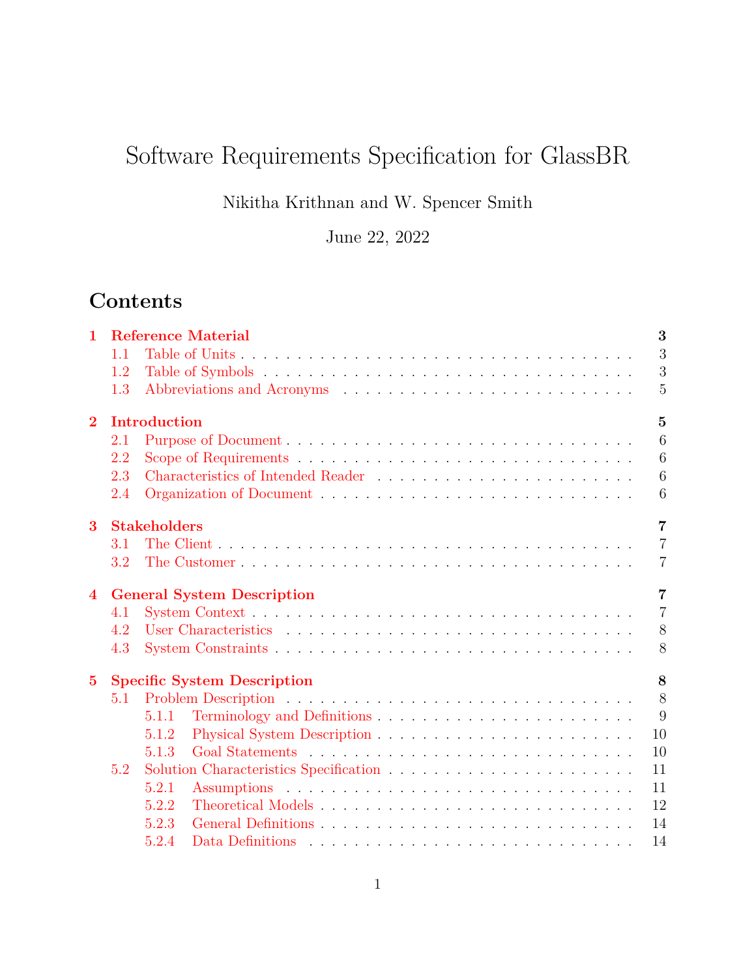# Software Requirements Specification for GlassBR

Nikitha Krithnan and W. Spencer Smith

June 22, 2022

## **Contents**

| $\mathbf 1$    |     |                     | <b>Reference Material</b>          | 3              |
|----------------|-----|---------------------|------------------------------------|----------------|
|                | 1.1 |                     |                                    | 3              |
|                | 1.2 |                     |                                    | 3              |
|                | 1.3 |                     |                                    | 5              |
| $\bf{2}$       |     | Introduction        |                                    | $\overline{5}$ |
|                | 2.1 |                     |                                    | 6              |
|                | 2.2 |                     |                                    | 6              |
|                | 2.3 |                     |                                    | $\overline{6}$ |
|                | 2.4 |                     |                                    | 6              |
| 3              |     | <b>Stakeholders</b> |                                    | $\overline{7}$ |
|                | 3.1 |                     |                                    | $\overline{7}$ |
|                | 3.2 |                     |                                    | 7              |
| $\overline{4}$ |     |                     | <b>General System Description</b>  | $\overline{7}$ |
|                | 4.1 |                     |                                    | $\overline{7}$ |
|                | 4.2 |                     |                                    | 8              |
|                | 4.3 |                     |                                    | 8              |
| $\bf{5}$       |     |                     | <b>Specific System Description</b> | 8              |
|                | 5.1 |                     |                                    | 8              |
|                |     | 5.1.1               |                                    | 9              |
|                |     | 5.1.2               |                                    | 10             |
|                |     | 5.1.3               |                                    | 10             |
|                | 5.2 |                     |                                    | 11             |
|                |     | 5.2.1               |                                    | 11             |
|                |     | 5.2.2               |                                    | 12             |
|                |     | 5.2.3               |                                    | 14             |
|                |     | 5.2.4               |                                    | 14             |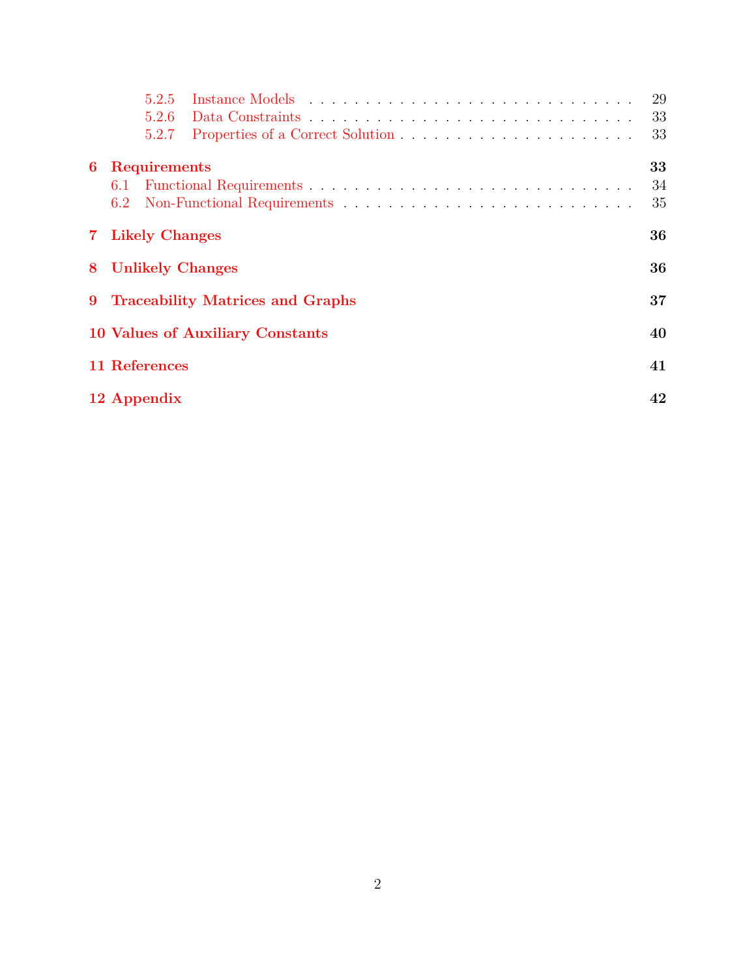|             |     | 5.2.5                 |                                         | 29 |
|-------------|-----|-----------------------|-----------------------------------------|----|
|             |     | 5.2.6                 |                                         | 33 |
|             |     | 5.2.7                 |                                         | 33 |
| 6           |     | <b>Requirements</b>   |                                         | 33 |
|             | 6.1 |                       |                                         | 34 |
|             | 6.2 |                       |                                         | 35 |
| $7^{\circ}$ |     | <b>Likely Changes</b> |                                         | 36 |
| 8           |     |                       | <b>Unlikely Changes</b>                 | 36 |
| 9           |     |                       | <b>Traceability Matrices and Graphs</b> | 37 |
|             |     |                       | 10 Values of Auxiliary Constants        | 40 |
|             |     | 11 References         |                                         | 41 |
|             |     | 12 Appendix           |                                         | 42 |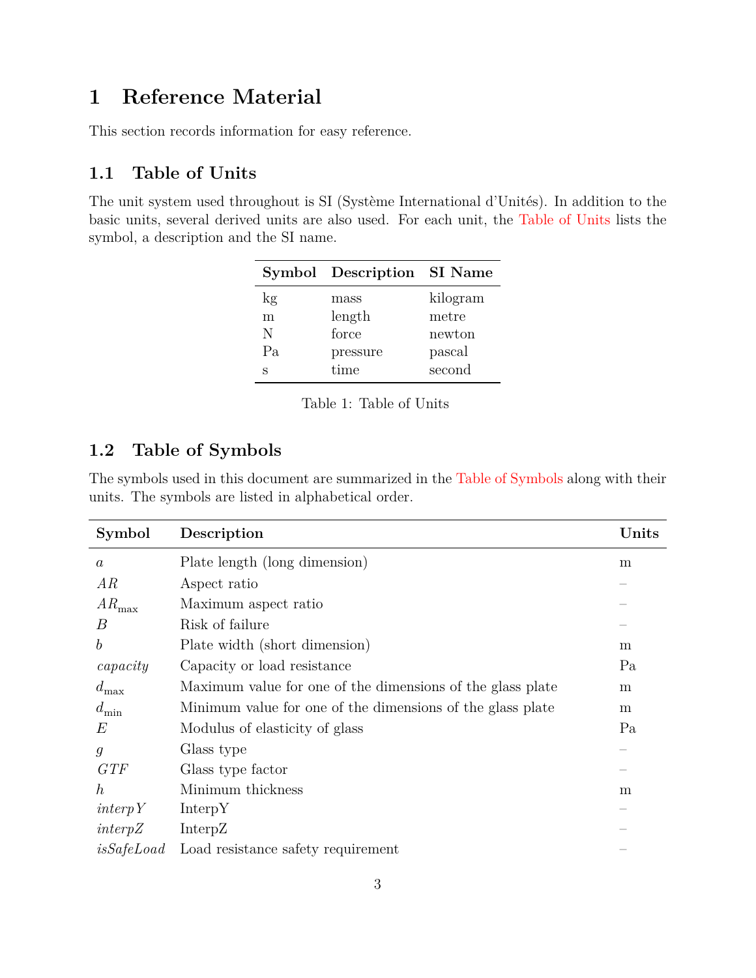## <span id="page-2-0"></span>**1 Reference Material**

This section records information for easy reference.

### <span id="page-2-1"></span>**1.1 Table of Units**

<span id="page-2-3"></span>The unit system used throughout is SI (Système International d'Unités). In addition to the basic units, several derived units are also used. For each unit, the [Table of Units](#page-2-3) lists the symbol, a description and the SI name.

|    | Symbol Description SI Name |          |
|----|----------------------------|----------|
| kg | mass                       | kilogram |
| m  | length                     | metre    |
| N  | force                      | newton   |
| Pa | pressure                   | pascal   |
| S  | time                       | second   |

Table 1: Table of Units

### <span id="page-2-2"></span>**1.2 Table of Symbols**

The symbols used in this document are summarized in the [Table of Symbols](#page-2-4) along with their units. The symbols are listed in alphabetical order.

<span id="page-2-4"></span>

| Symbol             | Description                                                | Units |
|--------------------|------------------------------------------------------------|-------|
| $\boldsymbol{a}$   | Plate length (long dimension)                              | m     |
| AR                 | Aspect ratio                                               |       |
| $AR_{\rm max}$     | Maximum aspect ratio                                       |       |
| B                  | Risk of failure                                            |       |
| $\boldsymbol{b}$   | Plate width (short dimension)                              | m     |
| capacity           | Capacity or load resistance                                | Pa    |
| $d_{\max}$         | Maximum value for one of the dimensions of the glass plate | m     |
| $d_{\min}$         | Minimum value for one of the dimensions of the glass plate | m     |
| E                  | Modulus of elasticity of glass                             | Pa    |
| $\mathfrak{g}$     | Glass type                                                 |       |
| GTF                | Glass type factor                                          |       |
| $\hbar$            | Minimum thickness                                          | m     |
| $\text{interp}\,Y$ | InterpY                                                    |       |
| interpZ            | InterpZ                                                    |       |
| isSafeLoad         | Load resistance safety requirement                         |       |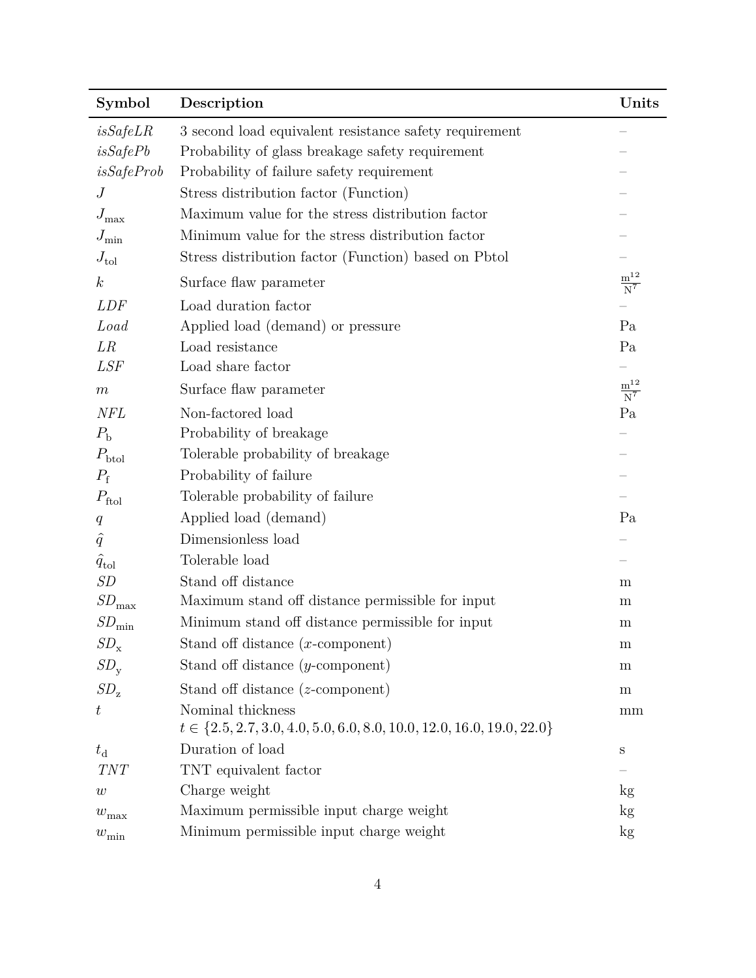| Symbol                 | Description                                                                 | Units                                              |
|------------------------|-----------------------------------------------------------------------------|----------------------------------------------------|
| isSafeLR               | 3 second load equivalent resistance safety requirement                      |                                                    |
| isSafePb               | Probability of glass breakage safety requirement                            |                                                    |
| isSafeProb             | Probability of failure safety requirement                                   |                                                    |
| J                      | Stress distribution factor (Function)                                       |                                                    |
| $J_{\rm max}$          | Maximum value for the stress distribution factor                            |                                                    |
| $J_{\min}$             | Minimum value for the stress distribution factor                            |                                                    |
| $J_{\text{tol}}$       | Stress distribution factor (Function) based on Pbtol                        |                                                    |
| $\boldsymbol{k}$       | Surface flaw parameter                                                      | $\frac{\text{m}^{\text{12}}}{\text{N}^{\text{7}}}$ |
| <b>LDF</b>             | Load duration factor                                                        |                                                    |
| Load                   | Applied load (demand) or pressure                                           | Pa                                                 |
| LR                     | Load resistance                                                             | Pa                                                 |
| <b>LSF</b>             | Load share factor                                                           |                                                    |
| $\,m$                  | Surface flaw parameter                                                      | $\frac{\text{m}^{\text{12}}}{\text{N}^{\text{7}}}$ |
| <b>NFL</b>             | Non-factored load                                                           | Pa                                                 |
| $P_{\rm b}$            | Probability of breakage                                                     |                                                    |
| $P_{\text{btol}}$      | Tolerable probability of breakage                                           |                                                    |
| $P_{\rm f}$            | Probability of failure                                                      |                                                    |
| $P_{\text{ftol}}$      | Tolerable probability of failure                                            |                                                    |
| q                      | Applied load (demand)                                                       | Pa                                                 |
| $\hat{q}$              | Dimensionless load                                                          |                                                    |
| $\hat{q}_{\text{tol}}$ | Tolerable load                                                              |                                                    |
| SD                     | Stand off distance                                                          | m                                                  |
| $SD_{\rm max}$         | Maximum stand off distance permissible for input                            | m                                                  |
| $SD_{\rm min}$         | Minimum stand off distance permissible for input                            | m                                                  |
| $SD_{\mathbf{x}}$      | Stand off distance $(x$ -component)                                         | m                                                  |
| $SD_{y}$               | Stand off distance $(y$ -component)                                         | m                                                  |
| $SD_{z}$               | Stand off distance $(z$ -component)                                         | ${\bf m}$                                          |
| $\,t\,$                | Nominal thickness                                                           | mm                                                 |
|                        | $t \in \{2.5, 2.7, 3.0, 4.0, 5.0, 6.0, 8.0, 10.0, 12.0, 16.0, 19.0, 22.0\}$ |                                                    |
| $t_{\rm d}$            | Duration of load                                                            | S                                                  |
| TNT                    | TNT equivalent factor                                                       |                                                    |
| w                      | Charge weight                                                               | kg                                                 |
| $w_{\text{max}}$       | Maximum permissible input charge weight                                     | $\log$                                             |
| $w_{\min}$             | Minimum permissible input charge weight                                     | kg                                                 |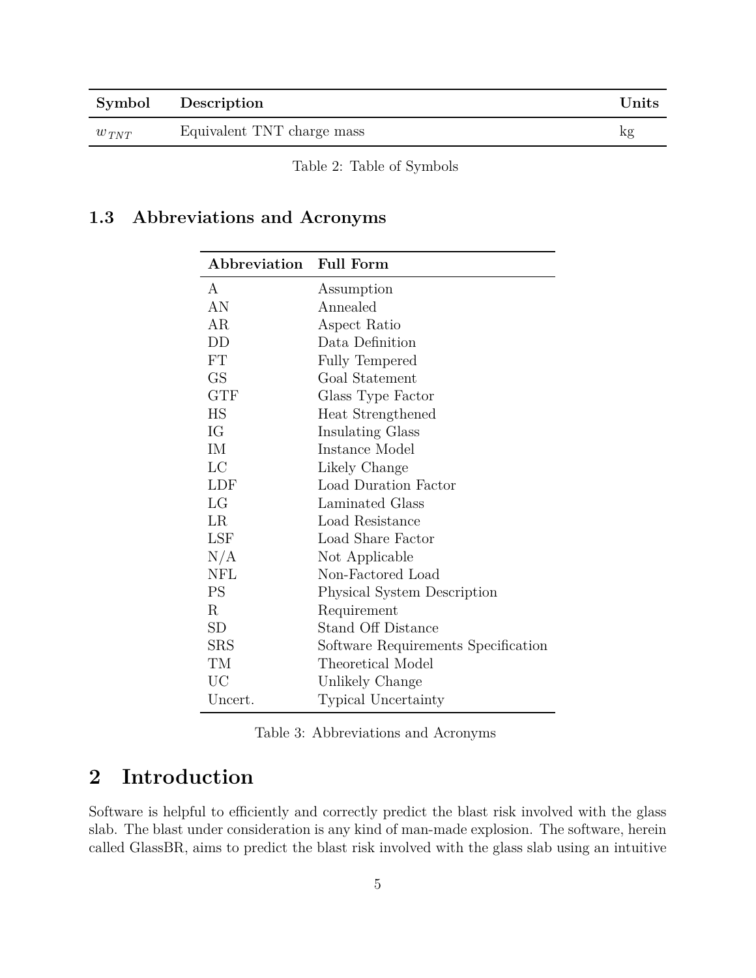|             | Symbol Description         | $\bf Units$ |
|-------------|----------------------------|-------------|
| $w_{\,TNT}$ | Equivalent TNT charge mass | kg          |

Table 2: Table of Symbols

### <span id="page-4-0"></span>**1.3 Abbreviations and Acronyms**

| Abbreviation | <b>Full Form</b>                    |
|--------------|-------------------------------------|
| A            | Assumption                          |
| AN           | Annealed                            |
| AR           | Aspect Ratio                        |
| DD           | Data Definition                     |
| FT           | Fully Tempered                      |
| GS           | Goal Statement                      |
| <b>GTF</b>   | Glass Type Factor                   |
| HS           | Heat Strengthened                   |
| IG           | Insulating Glass                    |
| IM           | Instance Model                      |
| LC           | Likely Change                       |
| LDF          | Load Duration Factor                |
| LG           | Laminated Glass                     |
| LR           | Load Resistance                     |
| <b>LSF</b>   | Load Share Factor                   |
| N/A          | Not Applicable                      |
| <b>NFL</b>   | Non-Factored Load                   |
| PS           | Physical System Description         |
| R            | Requirement                         |
| SD           | <b>Stand Off Distance</b>           |
| ${\rm SRS}$  | Software Requirements Specification |
| TМ           | Theoretical Model                   |
| UC           | Unlikely Change                     |
| Uncert.      | Typical Uncertainty                 |

Table 3: Abbreviations and Acronyms

## <span id="page-4-1"></span>**2 Introduction**

Software is helpful to efficiently and correctly predict the blast risk involved with the glass slab. The blast under consideration is any kind of man-made explosion. The software, herein called GlassBR, aims to predict the blast risk involved with the glass slab using an intuitive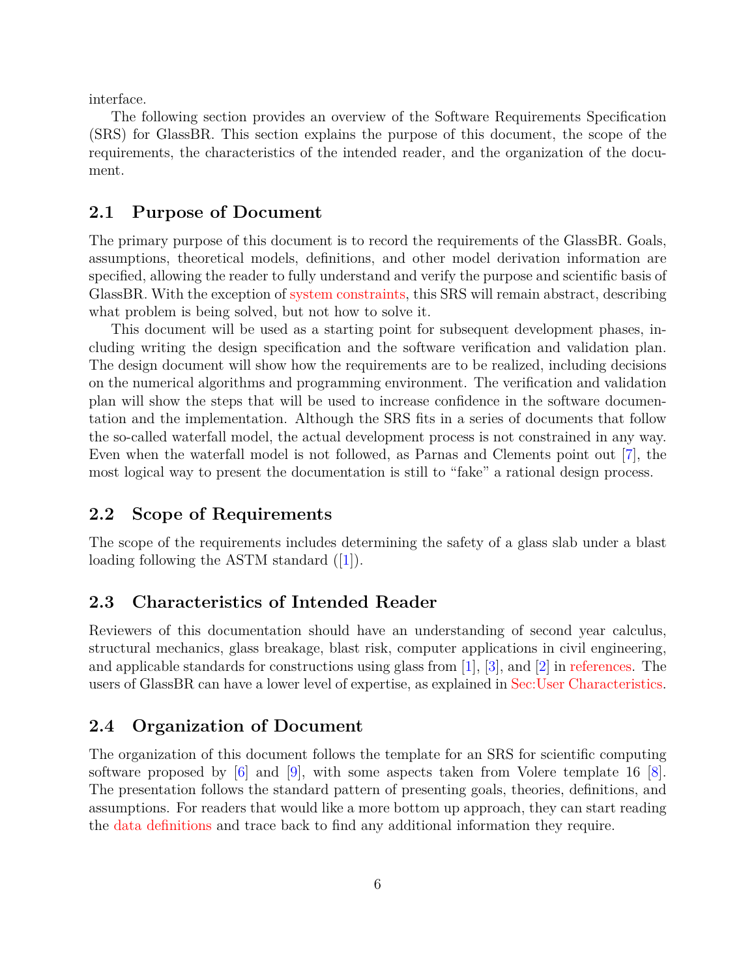interface.

The following section provides an overview of the Software Requirements Specification (SRS) for GlassBR. This section explains the purpose of this document, the scope of the requirements, the characteristics of the intended reader, and the organization of the document.

#### <span id="page-5-0"></span>**2.1 Purpose of Document**

The primary purpose of this document is to record the requirements of the GlassBR. Goals, assumptions, theoretical models, definitions, and other model derivation information are specified, allowing the reader to fully understand and verify the purpose and scientific basis of GlassBR. With the exception of [system constraints,](#page-7-1) this SRS will remain abstract, describing what problem is being solved, but not how to solve it.

This document will be used as a starting point for subsequent development phases, including writing the design specification and the software verification and validation plan. The design document will show how the requirements are to be realized, including decisions on the numerical algorithms and programming environment. The verification and validation plan will show the steps that will be used to increase confidence in the software documentation and the implementation. Although the SRS fits in a series of documents that follow the so-called waterfall model, the actual development process is not constrained in any way. Even when the waterfall model is not followed, as Parnas and Clements point out [\[7\]](#page-40-1), the most logical way to present the documentation is still to "fake" a rational design process.

#### <span id="page-5-1"></span>**2.2 Scope of Requirements**

The scope of the requirements includes determining the safety of a glass slab under a blast loadingfollowing the ASTM standard ([\[1\]](#page-40-2)).

#### <span id="page-5-2"></span>**2.3 Characteristics of Intended Reader**

Reviewers of this documentation should have an understanding of second year calculus, structural mechanics, glass breakage, blast risk, computer applications in civil engineering, and applicable standards for constructions using glass from [\[1\]](#page-40-2), [\[3\]](#page-40-3), and [\[2\]](#page-40-4) in [references.](#page-40-0) The users of GlassBR can have a lower level of expertise, as explained in [Sec:User Characteristics.](#page-7-0)

#### <span id="page-5-3"></span>**2.4 Organization of Document**

The organization of this document follows the template for an SRS for scientific computing software proposed by  $[6]$  and  $[9]$ , with some aspects taken from Volere template 16  $[8]$ . The presentation follows the standard pattern of presenting goals, theories, definitions, and assumptions. For readers that would like a more bottom up approach, they can start reading the [data definitions](#page-28-0) and trace back to find any additional information they require.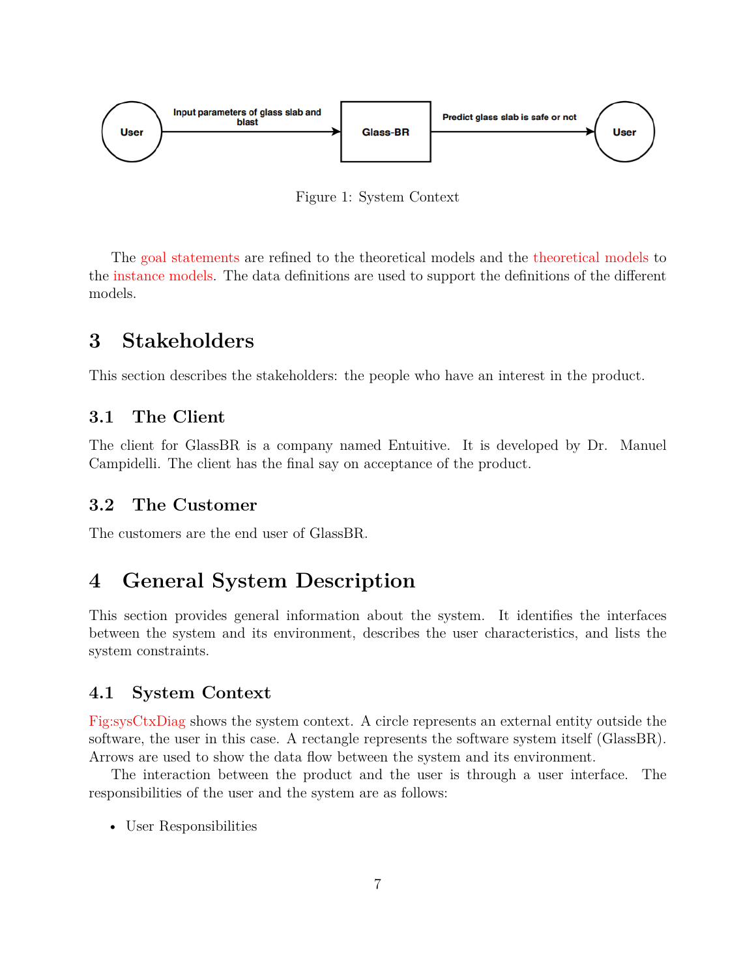<span id="page-6-5"></span>

Figure 1: System Context

The [goal statements](#page-9-1) are refined to the theoretical models and the [theoretical models](#page-11-0) to the [instance models.](#page-28-0) The data definitions are used to support the definitions of the different models.

## <span id="page-6-0"></span>**3 Stakeholders**

This section describes the stakeholders: the people who have an interest in the product.

### <span id="page-6-1"></span>**3.1 The Client**

The client for GlassBR is a company named Entuitive. It is developed by Dr. Manuel Campidelli. The client has the final say on acceptance of the product.

#### <span id="page-6-2"></span>**3.2 The Customer**

The customers are the end user of GlassBR.

## <span id="page-6-3"></span>**4 General System Description**

This section provides general information about the system. It identifies the interfaces between the system and its environment, describes the user characteristics, and lists the system constraints.

### <span id="page-6-4"></span>**4.1 System Context**

[Fig:sysCtxDiag](#page-6-5) shows the system context. A circle represents an external entity outside the software, the user in this case. A rectangle represents the software system itself (GlassBR). Arrows are used to show the data flow between the system and its environment.

The interaction between the product and the user is through a user interface. The responsibilities of the user and the system are as follows:

• User Responsibilities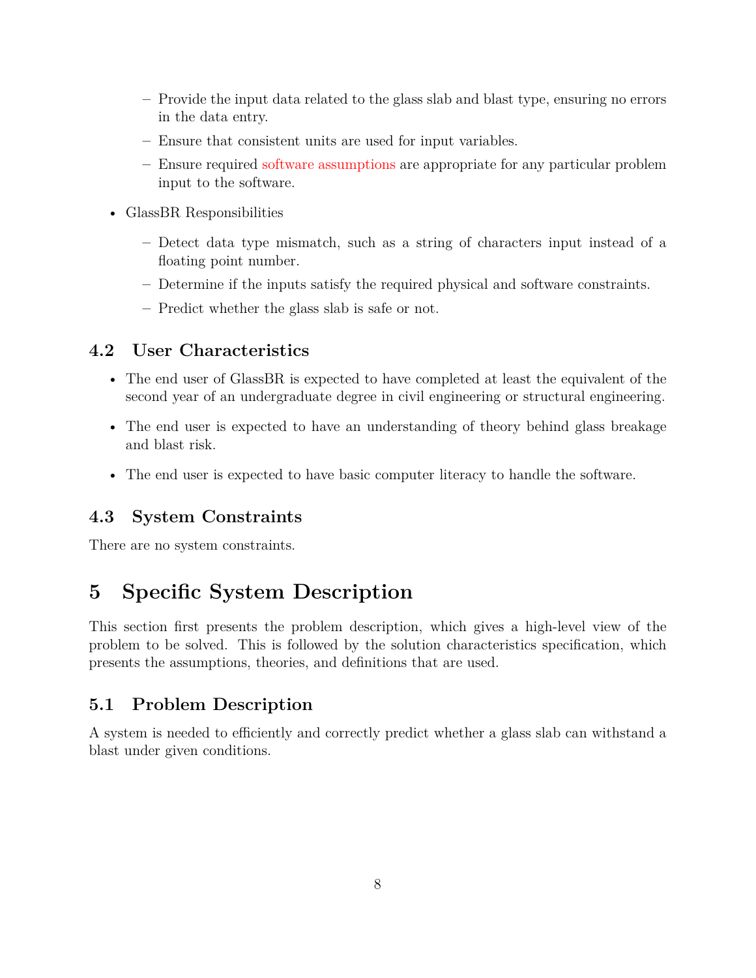- **–** Provide the input data related to the glass slab and blast type, ensuring no errors in the data entry.
- **–** Ensure that consistent units are used for input variables.
- **–** Ensure required [software assumptions](#page-10-1) are appropriate for any particular problem input to the software.
- GlassBR Responsibilities
	- **–** Detect data type mismatch, such as a string of characters input instead of a floating point number.
	- **–** Determine if the inputs satisfy the required physical and software constraints.
	- **–** Predict whether the glass slab is safe or not.

#### <span id="page-7-0"></span>**4.2 User Characteristics**

- The end user of GlassBR is expected to have completed at least the equivalent of the second year of an undergraduate degree in civil engineering or structural engineering.
- The end user is expected to have an understanding of theory behind glass breakage and blast risk.
- The end user is expected to have basic computer literacy to handle the software.

### <span id="page-7-1"></span>**4.3 System Constraints**

There are no system constraints.

## <span id="page-7-2"></span>**5 Specific System Description**

This section first presents the problem description, which gives a high-level view of the problem to be solved. This is followed by the solution characteristics specification, which presents the assumptions, theories, and definitions that are used.

### <span id="page-7-3"></span>**5.1 Problem Description**

A system is needed to efficiently and correctly predict whether a glass slab can withstand a blast under given conditions.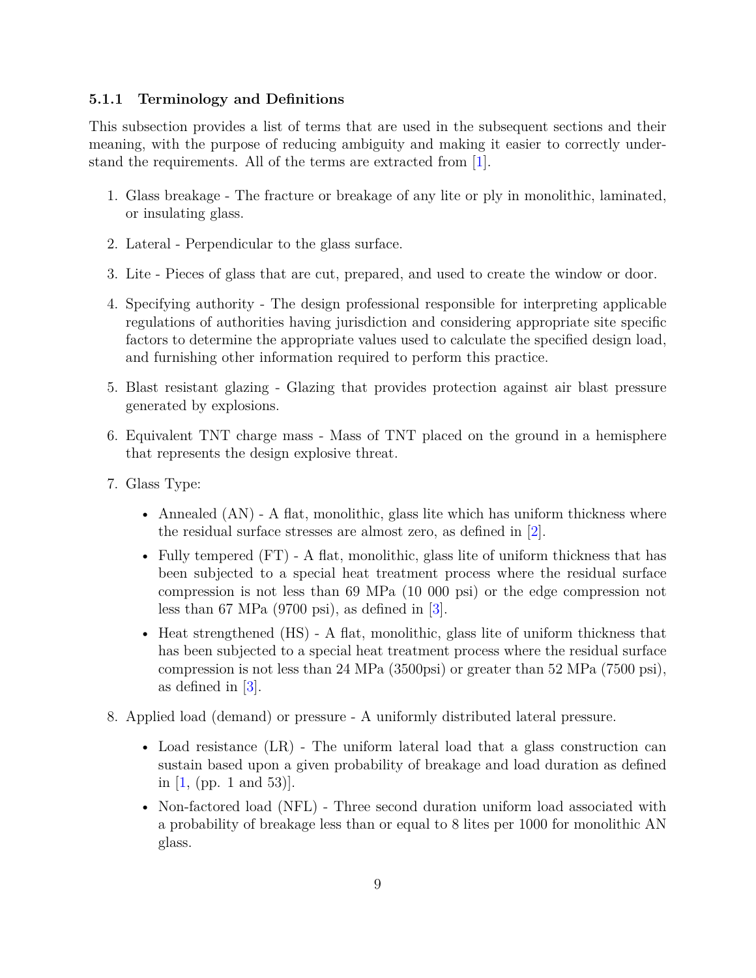#### <span id="page-8-0"></span>**5.1.1 Terminology and Definitions**

This subsection provides a list of terms that are used in the subsequent sections and their meaning, with the purpose of reducing ambiguity and making it easier to correctly understand the requirements. All of the terms are extracted from [\[1\]](#page-40-2).

- 1. Glass breakage The fracture or breakage of any lite or ply in monolithic, laminated, or insulating glass.
- 2. Lateral Perpendicular to the glass surface.
- 3. Lite Pieces of glass that are cut, prepared, and used to create the window or door.
- 4. Specifying authority The design professional responsible for interpreting applicable regulations of authorities having jurisdiction and considering appropriate site specific factors to determine the appropriate values used to calculate the specified design load, and furnishing other information required to perform this practice.
- 5. Blast resistant glazing Glazing that provides protection against air blast pressure generated by explosions.
- 6. Equivalent TNT charge mass Mass of TNT placed on the ground in a hemisphere that represents the design explosive threat.
- 7. Glass Type:
	- Annealed (AN) A flat, monolithic, glass lite which has uniform thickness where the residual surface stresses are almost zero, as defined in [\[2\]](#page-40-4).
	- Fully tempered  $(FT)$  A flat, monolithic, glass lite of uniform thickness that has been subjected to a special heat treatment process where the residual surface compression is not less than 69 MPa (10 000 psi) or the edge compression not less than 67 MPa  $(9700 \text{ psi})$ , as defined in  $\lceil 3 \rceil$ .
	- Heat strengthened (HS) A flat, monolithic, glass lite of uniform thickness that has been subjected to a special heat treatment process where the residual surface compression is not less than 24 MPa (3500psi) or greater than 52 MPa (7500 psi), as defined in [\[3\]](#page-40-3).
- 8. Applied load (demand) or pressure A uniformly distributed lateral pressure.
	- Load resistance (LR) The uniform lateral load that a glass construction can sustain based upon a given probability of breakage and load duration as defined in  $[1, (pp. 1 and 53)].$
	- Non-factored load (NFL) Three second duration uniform load associated with a probability of breakage less than or equal to 8 lites per 1000 for monolithic AN glass.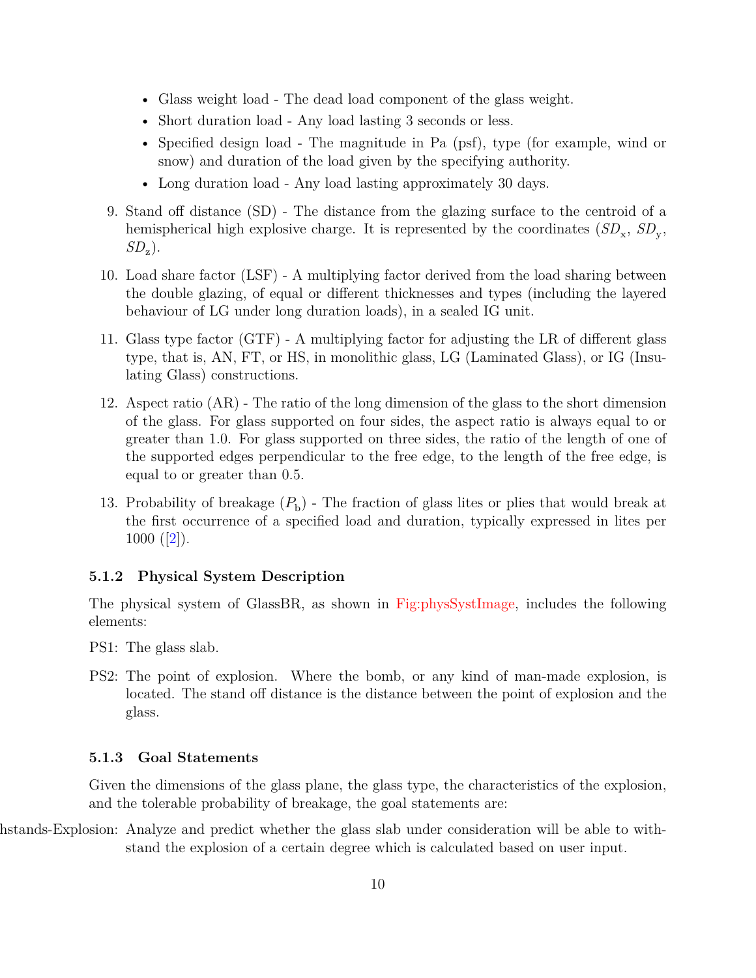- Glass weight load The dead load component of the glass weight.
- Short duration load Any load lasting 3 seconds or less.
- Specified design load The magnitude in Pa (psf), type (for example, wind or snow) and duration of the load given by the specifying authority.
- Long duration load Any load lasting approximately 30 days.
- 9. Stand off distance (SD) The distance from the glazing surface to the centroid of a hemispherical high explosive charge. It is represented by the coordinates  $(SD_x, SD_y,$ *SD*<sup>z</sup> ).
- 10. Load share factor (LSF) A multiplying factor derived from the load sharing between the double glazing, of equal or different thicknesses and types (including the layered behaviour of LG under long duration loads), in a sealed IG unit.
- 11. Glass type factor (GTF) A multiplying factor for adjusting the LR of different glass type, that is, AN, FT, or HS, in monolithic glass, LG (Laminated Glass), or IG (Insulating Glass) constructions.
- 12. Aspect ratio (AR) The ratio of the long dimension of the glass to the short dimension of the glass. For glass supported on four sides, the aspect ratio is always equal to or greater than 1.0. For glass supported on three sides, the ratio of the length of one of the supported edges perpendicular to the free edge, to the length of the free edge, is equal to or greater than 0.5.
- 13. Probability of breakage  $(P<sub>b</sub>)$  The fraction of glass lites or plies that would break at the first occurrence of a specified load and duration, typically expressed in lites per  $1000 ([2]).$  $1000 ([2]).$  $1000 ([2]).$  $1000 ([2]).$  $1000 ([2]).$

#### <span id="page-9-0"></span>**5.1.2 Physical System Description**

The physical system of GlassBR, as shown in [Fig:physSystImage,](#page-10-2) includes the following elements:

- PS1: The glass slab.
- PS2: The point of explosion. Where the bomb, or any kind of man-made explosion, is located. The stand off distance is the distance between the point of explosion and the glass.

#### <span id="page-9-1"></span>**5.1.3 Goal Statements**

<span id="page-9-2"></span>Given the dimensions of the glass plane, the glass type, the characteristics of the explosion, and the tolerable probability of breakage, the goal statements are:

hstands-Explosion: Analyze and predict whether the glass slab under consideration will be able to withstand the explosion of a certain degree which is calculated based on user input.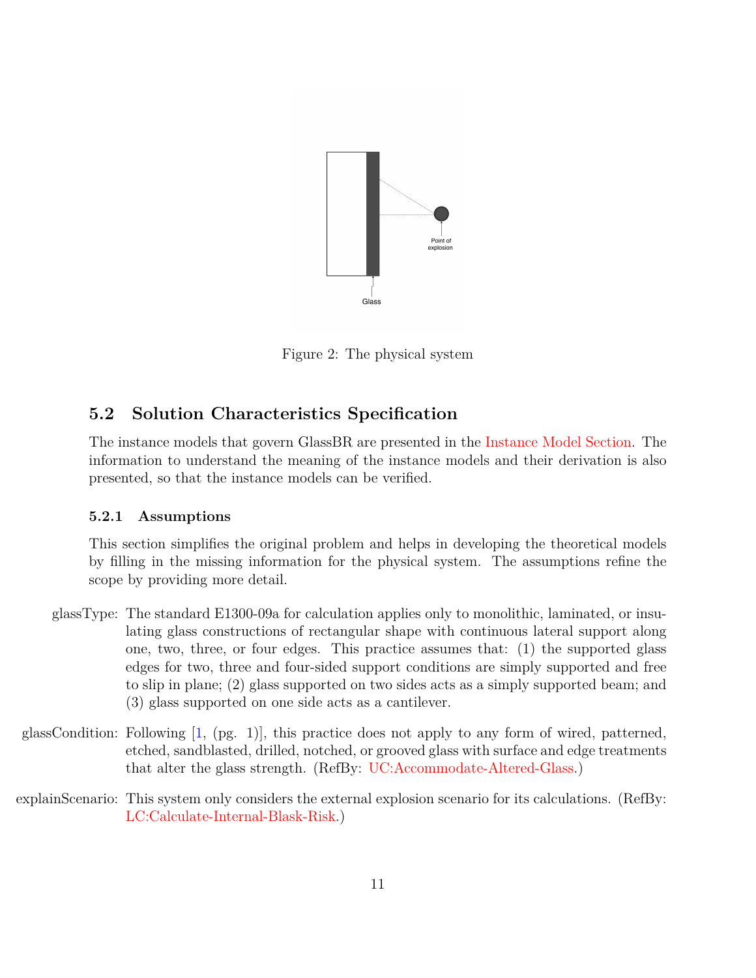<span id="page-10-2"></span>

Figure 2: The physical system

### <span id="page-10-0"></span>**5.2 Solution Characteristics Specification**

The instance models that govern GlassBR are presented in the [Instance Model Section.](#page-28-0) The information to understand the meaning of the instance models and their derivation is also presented, so that the instance models can be verified.

#### <span id="page-10-1"></span>**5.2.1 Assumptions**

<span id="page-10-5"></span>This section simplifies the original problem and helps in developing the theoretical models by filling in the missing information for the physical system. The assumptions refine the scope by providing more detail.

- glassType: The standard E1300-09a for calculation applies only to monolithic, laminated, or insulating glass constructions of rectangular shape with continuous lateral support along one, two, three, or four edges. This practice assumes that: (1) the supported glass edges for two, three and four-sided support conditions are simply supported and free to slip in plane; (2) glass supported on two sides acts as a simply supported beam; and (3) glass supported on one side acts as a cantilever.
- <span id="page-10-4"></span>glassCondition: Following [\[1,](#page-40-2) (pg. 1)], this practice does not apply to any form of wired, patterned, etched, sandblasted, drilled, notched, or grooved glass with surface and edge treatments that alter the glass strength. (RefBy: [UC:Accommodate-Altered-Glass.](#page-35-2))
- <span id="page-10-3"></span>explainScenario: This system only considers the external explosion scenario for its calculations. (RefBy: [LC:Calculate-Internal-Blask-Risk.](#page-35-3))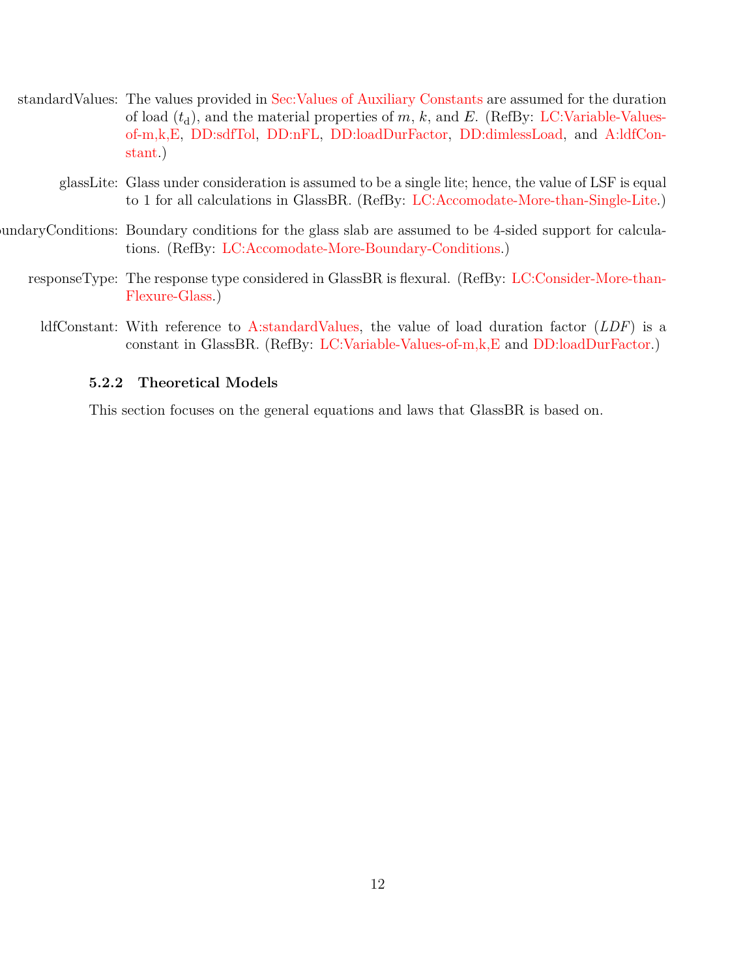<span id="page-11-2"></span>

| standard Values: The values provided in Sec: Values of Auxiliary Constants are assumed for the duration |
|---------------------------------------------------------------------------------------------------------|
| of load $(t_d)$ , and the material properties of m, k, and E. (RefBy: LC:Variable-Values-               |
| of-m.k.E. DD:sdfTol. DD:nFL. DD:loadDurFactor. DD:dimlessLoad. and A:ldfCon-                            |
| stant.)                                                                                                 |

- <span id="page-11-5"></span><span id="page-11-4"></span><span id="page-11-3"></span>glassLite: Glass under consideration is assumed to be a single lite; hence, the value of LSF is equal to 1 for all calculations in GlassBR. (RefBy: [LC:Accomodate-More-than-Single-Lite.](#page-35-5))
- boundaryConditions: Boundary conditions for the glass slab are assumed to be 4-sided support for calculations. (RefBy: [LC:Accomodate-More-Boundary-Conditions.](#page-35-6))
	- responseType: The response type considered in GlassBR is flexural. (RefBy: [LC:Consider-More-than-](#page-35-7)[Flexure-Glass.](#page-35-7))
		- ldfConstant: With reference to [A:standardValues,](#page-11-2) the value of load duration factor (*LDF*) is a constant in GlassBR. (RefBy: [LC:Variable-Values-of-m,k,E](#page-35-4) and [DD:loadDurFactor.](#page-16-0))

#### <span id="page-11-1"></span><span id="page-11-0"></span>**5.2.2 Theoretical Models**

This section focuses on the general equations and laws that GlassBR is based on.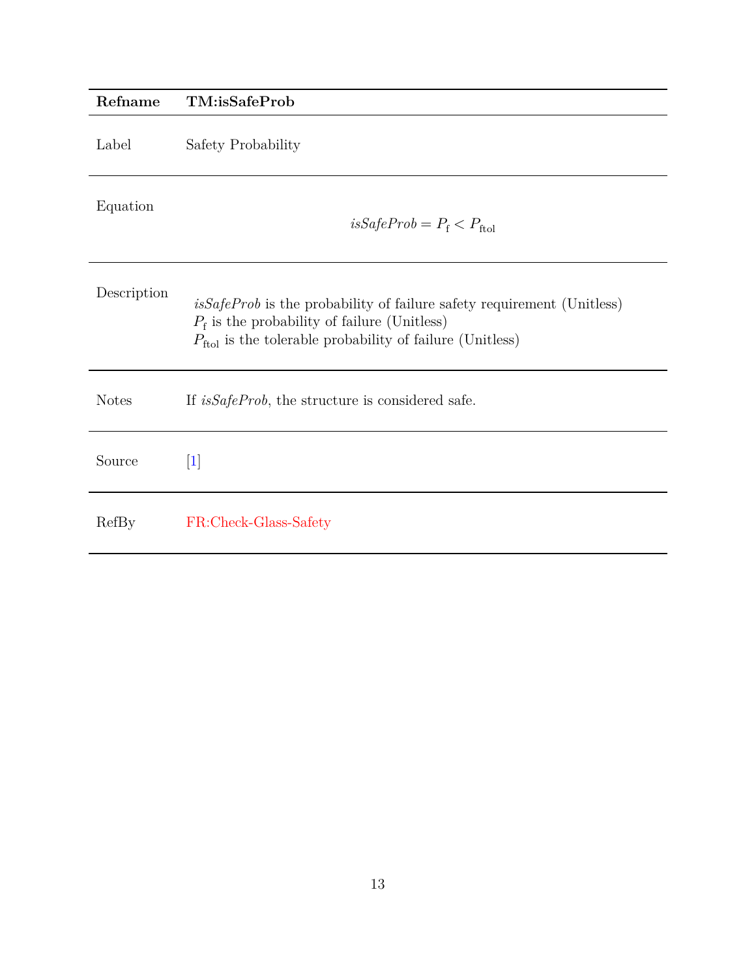<span id="page-12-0"></span>

| Refname      | TM:isSafeProb                                                                                                                                                                                            |
|--------------|----------------------------------------------------------------------------------------------------------------------------------------------------------------------------------------------------------|
| Label        | Safety Probability                                                                                                                                                                                       |
| Equation     | $isSafeProb = P_f < P_{ftol}$                                                                                                                                                                            |
| Description  | $isSafeProb$ is the probability of failure safety requirement (Unitless)<br>$P_{\rm f}$ is the probability of failure (Unitless)<br>$P_{\text{ftol}}$ is the tolerable probability of failure (Unitless) |
| <b>Notes</b> | If <i>isSafeProb</i> , the structure is considered safe.                                                                                                                                                 |
| Source       | $\vert 1 \vert$                                                                                                                                                                                          |
| RefBy        | FR:Check-Glass-Safety                                                                                                                                                                                    |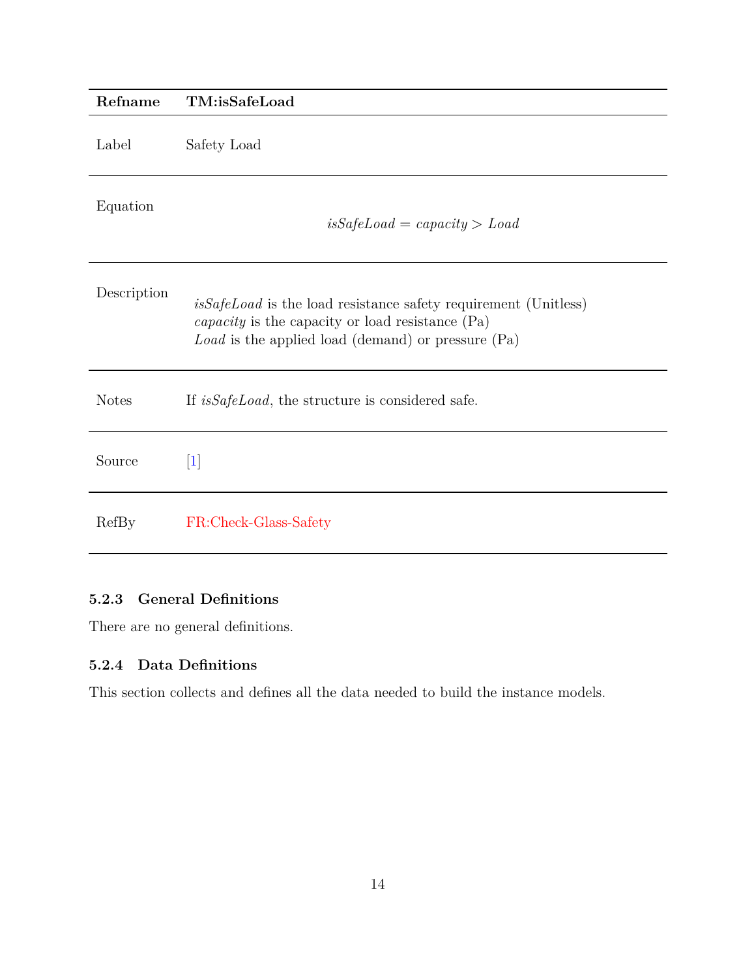<span id="page-13-2"></span>

| Refname      | TM:isSafeLoad                                                                                                                                                                                 |
|--------------|-----------------------------------------------------------------------------------------------------------------------------------------------------------------------------------------------|
| Label        | Safety Load                                                                                                                                                                                   |
| Equation     | $isSafeLoad = capacity > Load$                                                                                                                                                                |
| Description  | <i>isSafeLoad</i> is the load resistance safety requirement (Unitless)<br><i>capacity</i> is the capacity or load resistance $(Pa)$<br>$Load$ is the applied load (demand) or pressure $(Pa)$ |
| <b>Notes</b> | If <i>isSafeLoad</i> , the structure is considered safe.                                                                                                                                      |
| Source       | $\lceil 1 \rceil$                                                                                                                                                                             |
| RefBy        | FR:Check-Glass-Safety                                                                                                                                                                         |

### <span id="page-13-0"></span>**5.2.3 General Definitions**

There are no general definitions.

### <span id="page-13-1"></span>**5.2.4 Data Definitions**

This section collects and defines all the data needed to build the instance models.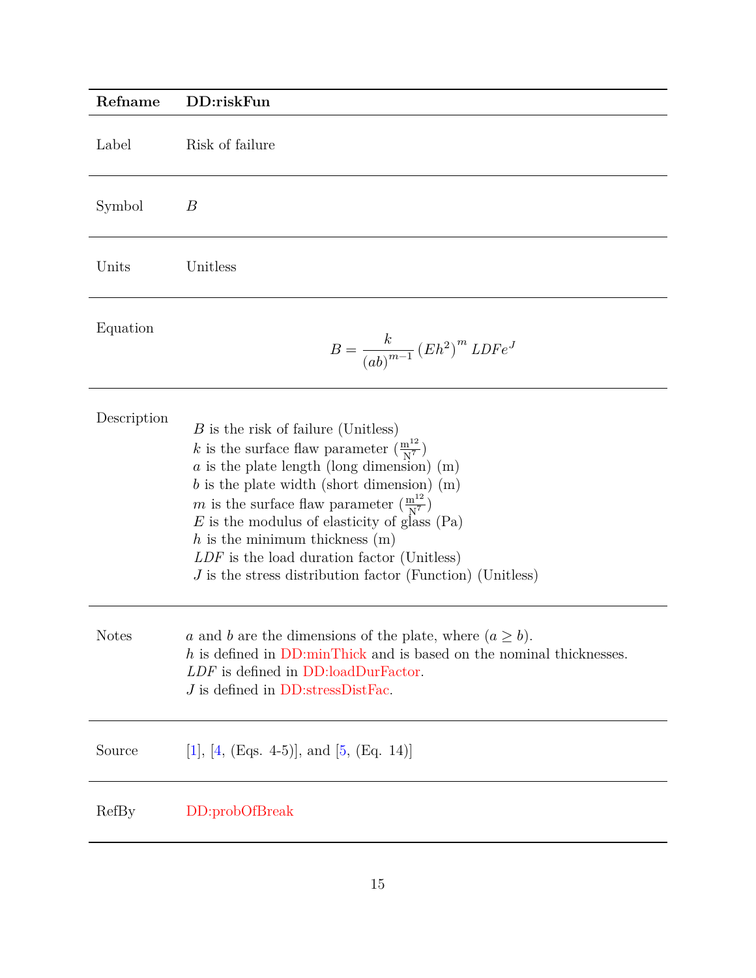<span id="page-14-0"></span>

| Refname      | DD:riskFun                                                                                                                                                                                                                                                                                                                                                                                                                                                                               |
|--------------|------------------------------------------------------------------------------------------------------------------------------------------------------------------------------------------------------------------------------------------------------------------------------------------------------------------------------------------------------------------------------------------------------------------------------------------------------------------------------------------|
| Label        | Risk of failure                                                                                                                                                                                                                                                                                                                                                                                                                                                                          |
| Symbol       | $\boldsymbol{B}$                                                                                                                                                                                                                                                                                                                                                                                                                                                                         |
| Units        | Unitless                                                                                                                                                                                                                                                                                                                                                                                                                                                                                 |
| Equation     | $B=\frac{k}{\left( ab\right) ^{m-1}}\left( Eh^{2}\right) ^{m}LDFe^{J}$                                                                                                                                                                                                                                                                                                                                                                                                                   |
| Description  | $B$ is the risk of failure (Unitless)<br>k is the surface flaw parameter $\left(\frac{m^{12}}{N^7}\right)$<br>$a$ is the plate length (long dimension) (m)<br>$b$ is the plate width (short dimension) $(m)$<br>m is the surface flaw parameter $\left(\frac{m^{12}}{N^7}\right)$<br>$E$ is the modulus of elasticity of glass (Pa)<br>$h$ is the minimum thickness $(m)$<br>$LDF$ is the load duration factor (Unitless)<br>$J$ is the stress distribution factor (Function) (Unitless) |
| <b>Notes</b> | a and b are the dimensions of the plate, where $(a \ge b)$ .<br>$h$ is defined in DD:minThick and is based on the nominal thicknesses.<br>LDF is defined in DD:loadDurFactor.<br>$J$ is defined in DD:stressDistFac.                                                                                                                                                                                                                                                                     |
| Source       | [1], [4, (Eqs. 4-5)], and [5, (Eq. 14)]                                                                                                                                                                                                                                                                                                                                                                                                                                                  |
| RefBy        | DD:probOfBreak                                                                                                                                                                                                                                                                                                                                                                                                                                                                           |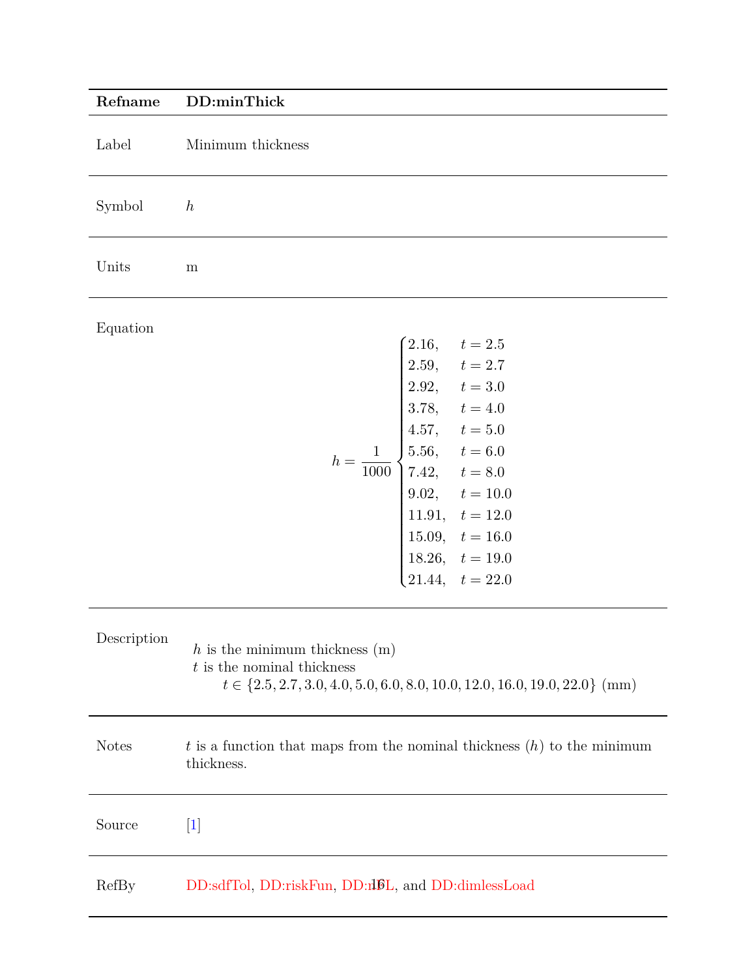<span id="page-15-0"></span>

| Refname      | DD:minThick                                                                                                                                                                                                                                                                                                                |
|--------------|----------------------------------------------------------------------------------------------------------------------------------------------------------------------------------------------------------------------------------------------------------------------------------------------------------------------------|
| Label        | Minimum thickness                                                                                                                                                                                                                                                                                                          |
| Symbol       | h                                                                                                                                                                                                                                                                                                                          |
| Units        | ${\rm m}$                                                                                                                                                                                                                                                                                                                  |
| Equation     | $\begin{cases} 2.16, \quad t = 2.5 \end{cases}$<br>2.59, $t = 2.7$<br>2.92, $t = 3.0$<br>3.78, $t = 4.0$<br>$h = \frac{1}{1000}$ $\begin{cases} 4.57, & t = 5.0 \\ 5.56, & t = 6.0 \\ 7.42, & t = 8.0 \end{cases}$<br>9.02, $t = 10.0$<br>11.91, $t = 12.0$<br>15.09, $t = 16.0$<br>18.26, $t = 19.0$<br>21.44, $t = 22.0$ |
| Description  | $h$ is the minimum thickness $(m)$<br>$t$ is the nominal thickness<br>$t \in \{2.5, 2.7, 3.0, 4.0, 5.0, 6.0, 8.0, 10.0, 12.0, 16.0, 19.0, 22.0\}$ (mm)                                                                                                                                                                     |
| <b>Notes</b> | $t$ is a function that maps from the nominal thickness $(h)$ to the minimum<br>thickness.                                                                                                                                                                                                                                  |
| Source       | $[1]$                                                                                                                                                                                                                                                                                                                      |
| RefBy        | DD:sdfTol, DD:riskFun, DD:niDL, and DD:dimlessLoad                                                                                                                                                                                                                                                                         |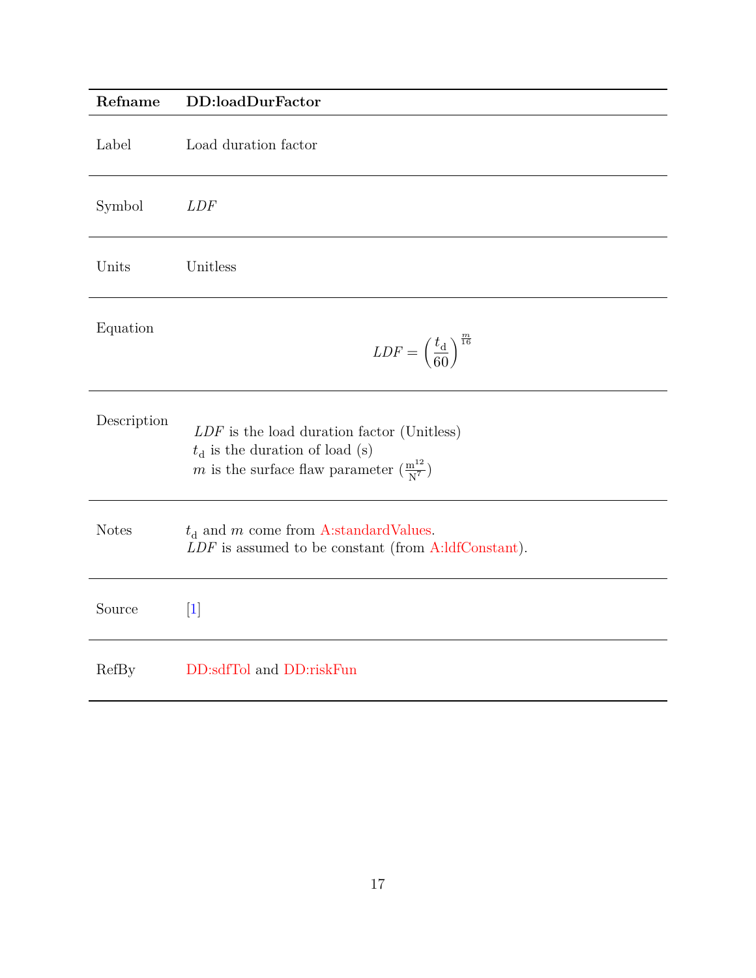<span id="page-16-0"></span>

| Refname      | DD:loadDurFactor                                                                                                                                  |
|--------------|---------------------------------------------------------------------------------------------------------------------------------------------------|
| Label        | Load duration factor                                                                                                                              |
| Symbol       | <b>LDF</b>                                                                                                                                        |
| Units        | Unitless                                                                                                                                          |
| Equation     | $LDF = \left(\frac{t_{\rm d}}{60}\right)^{\frac{m}{16}}$                                                                                          |
| Description  | $LDF$ is the load duration factor (Unitless)<br>$t_{\rm d}$ is the duration of load (s)<br>m is the surface flaw parameter $(\frac{m^{12}}{N^7})$ |
| <b>Notes</b> | $t_{\rm d}$ and m come from A:standardValues.<br>$LDF$ is assumed to be constant (from A:ldfConstant).                                            |
| Source       | $[1]$                                                                                                                                             |
| RefBy        | DD:sdfTol and DD:riskFun                                                                                                                          |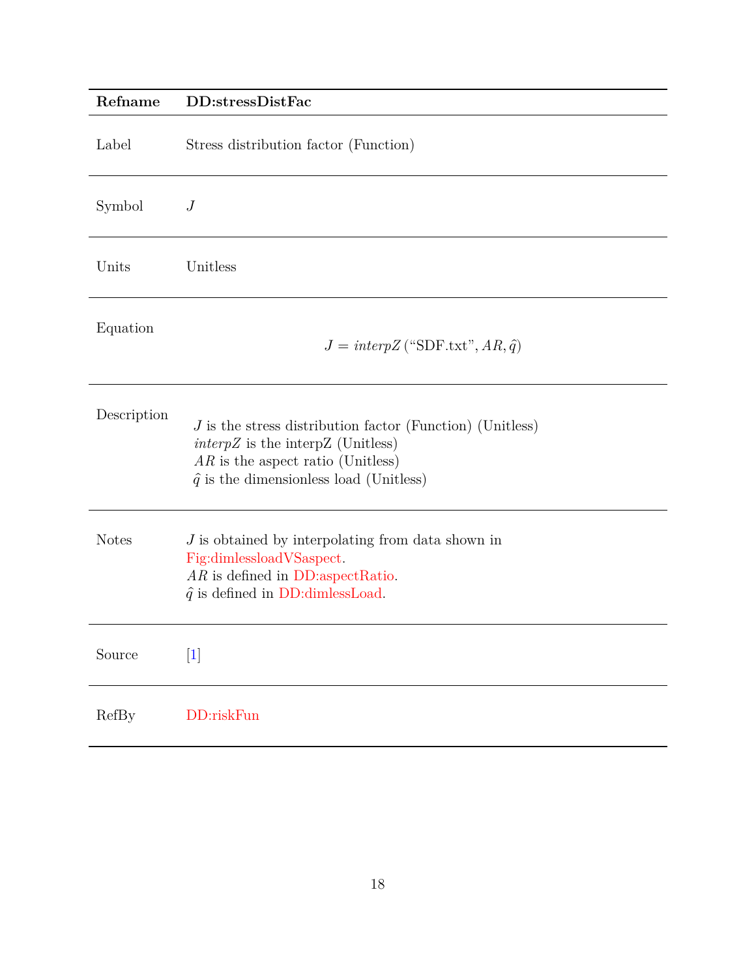<span id="page-17-0"></span>

| Refname      | DD:stressDistFac                                                                                                                                                                               |
|--------------|------------------------------------------------------------------------------------------------------------------------------------------------------------------------------------------------|
| Label        | Stress distribution factor (Function)                                                                                                                                                          |
| Symbol       | $\boldsymbol{J}$                                                                                                                                                                               |
| Units        | Unitless                                                                                                                                                                                       |
| Equation     | $J = interpZ$ ("SDF.txt", $AR, \hat{q}$ )                                                                                                                                                      |
| Description  | $J$ is the stress distribution factor (Function) (Unitless)<br>$\text{int}$ is the interpZ (Unitless)<br>$AR$ is the aspect ratio (Unitless)<br>$\hat{q}$ is the dimensionless load (Unitless) |
| <b>Notes</b> | $J$ is obtained by interpolating from data shown in<br>Fig:dimlessloadVSaspect.<br>$AR$ is defined in DD:aspectRatio.<br>$\hat{q}$ is defined in DD:dimlessLoad.                               |
| Source       | $[1]$                                                                                                                                                                                          |
| RefBy        | DD:riskFun                                                                                                                                                                                     |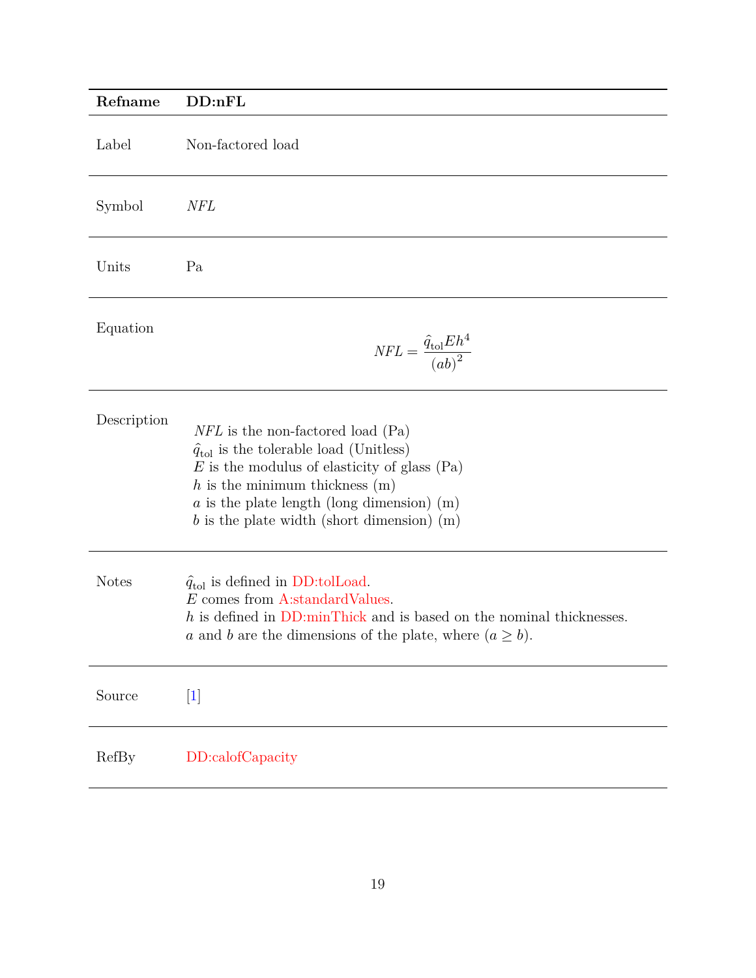<span id="page-18-0"></span>

| Refname      | DD:nFL                                                                                                                                                                                                                                                                                 |
|--------------|----------------------------------------------------------------------------------------------------------------------------------------------------------------------------------------------------------------------------------------------------------------------------------------|
| Label        | Non-factored load                                                                                                                                                                                                                                                                      |
| Symbol       | NFL                                                                                                                                                                                                                                                                                    |
| Units        | Pa                                                                                                                                                                                                                                                                                     |
| Equation     | $NFL = \frac{\hat{q}_{\text{tol}} E h^4}{(ab)^2}$                                                                                                                                                                                                                                      |
| Description  | $NFL$ is the non-factored load (Pa)<br>$\hat{q}_{\text{tol}}$ is the tolerable load (Unitless)<br>$E$ is the modulus of elasticity of glass (Pa)<br>$h$ is the minimum thickness $(m)$<br>$a$ is the plate length (long dimension) (m)<br>b is the plate width (short dimension) $(m)$ |
| <b>Notes</b> | $\hat{q}_{\text{tol}}$ is defined in DD:tolLoad.<br>E comes from A:standardValues.<br>$h$ is defined in DD:minThick and is based on the nominal thicknesses.<br>a and b are the dimensions of the plate, where $(a \geq b)$ .                                                          |
| Source       | $[1]$                                                                                                                                                                                                                                                                                  |
| RefBy        | DD:calofCapacity                                                                                                                                                                                                                                                                       |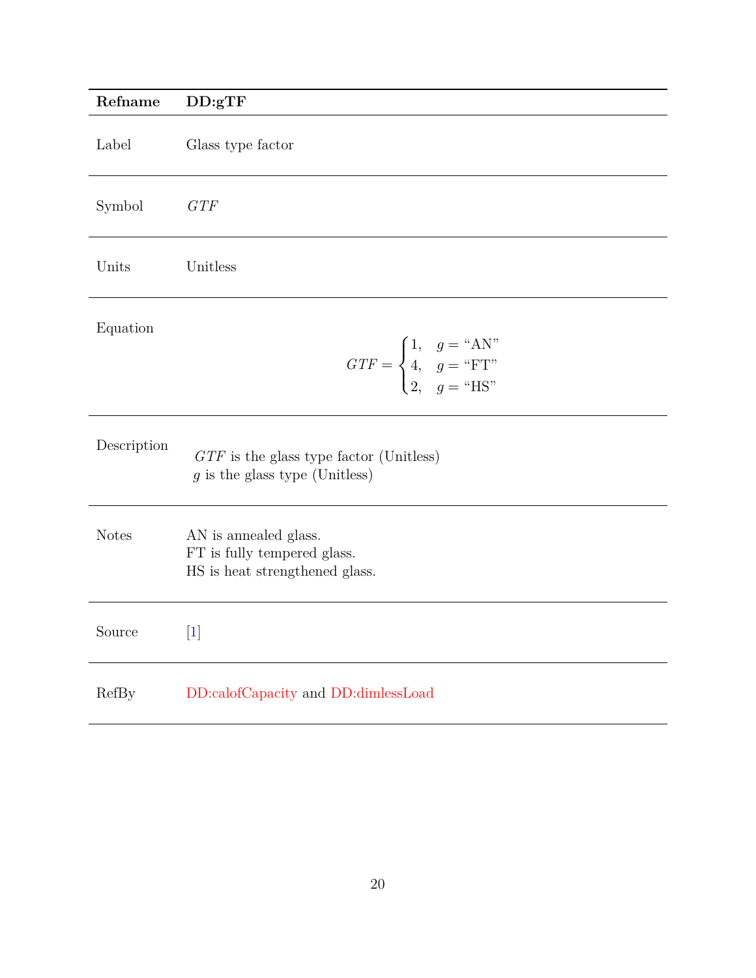<span id="page-19-0"></span>

| Refname      | DD:gTF                                                                                 |
|--------------|----------------------------------------------------------------------------------------|
| Label        | Glass type factor                                                                      |
| Symbol       | GTF                                                                                    |
| Units        | Unitless                                                                               |
| Equation     | $GTF = \begin{cases} 1, & g = "AN" \\ 4, & g = "FT" \\ 2, & g = "HS" \end{cases}$      |
| Description  | $GTF$ is the glass type factor (Unitless)<br>$g$ is the glass type (Unitless)          |
| <b>Notes</b> | AN is annealed glass.<br>FT is fully tempered glass.<br>HS is heat strengthened glass. |
| Source       | $[1]$                                                                                  |
| RefBy        | DD:calofCapacity and DD:dimlessLoad                                                    |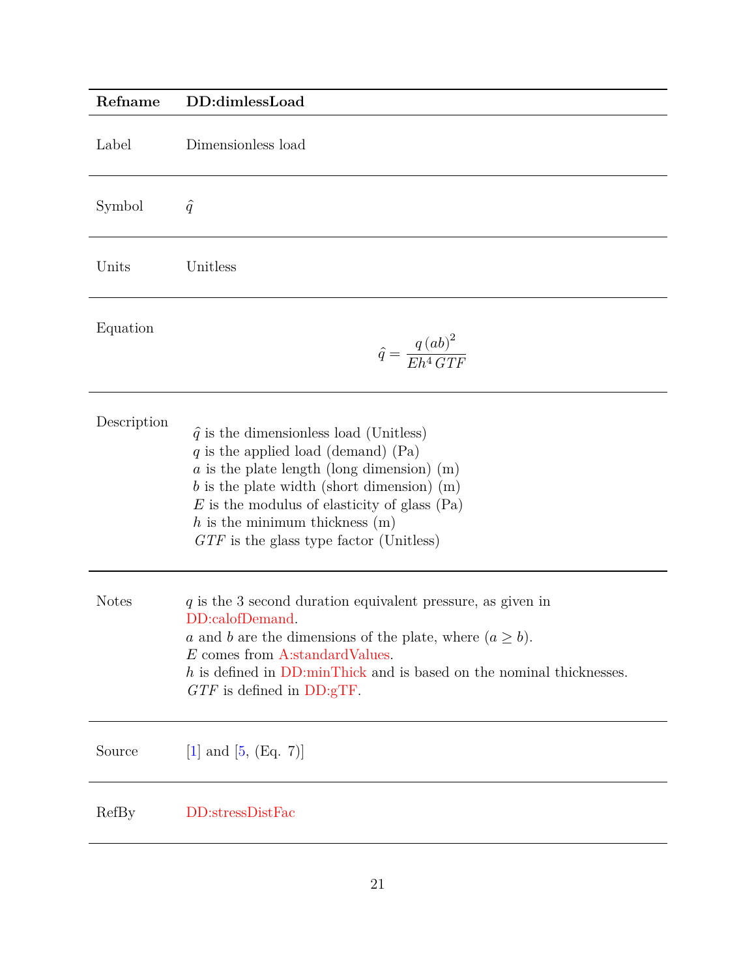<span id="page-20-0"></span>

| Refname      | DD:dimlessLoad                                                                                                                                                                                                                                                                                                               |
|--------------|------------------------------------------------------------------------------------------------------------------------------------------------------------------------------------------------------------------------------------------------------------------------------------------------------------------------------|
| Label        | Dimensionless load                                                                                                                                                                                                                                                                                                           |
| Symbol       | $\hat{q}$                                                                                                                                                                                                                                                                                                                    |
| Units        | Unitless                                                                                                                                                                                                                                                                                                                     |
| Equation     | $\hat{q} = \frac{q \left(ab\right)^2}{E h^4 \, G T F}$                                                                                                                                                                                                                                                                       |
| Description  | $\hat{q}$ is the dimensionless load (Unitless)<br>q is the applied load (demand) $(Pa)$<br>$a$ is the plate length (long dimension) (m)<br>$b$ is the plate width (short dimension) (m)<br>$E$ is the modulus of elasticity of glass (Pa)<br>$h$ is the minimum thickness $(m)$<br>$GTF$ is the glass type factor (Unitless) |
| <b>Notes</b> | $q$ is the 3 second duration equivalent pressure, as given in<br>DD:calofDemand.<br>a and b are the dimensions of the plate, where $(a \geq b)$ .<br>E comes from A:standardValues.<br>$h$ is defined in DD:minThick and is based on the nominal thicknesses.<br>$GTF$ is defined in $DD:gTF$ .                              |
| Source       | [1] and $[5, (Eq. 7)]$                                                                                                                                                                                                                                                                                                       |
| RefBy        | DD:stressDistFac                                                                                                                                                                                                                                                                                                             |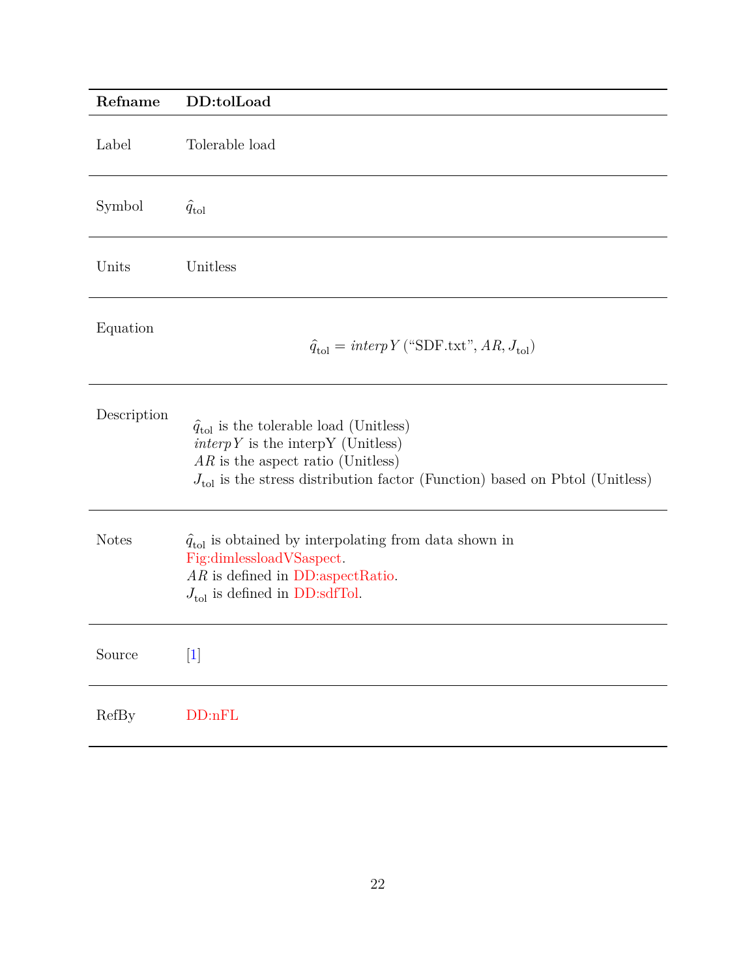<span id="page-21-0"></span>

| Refname      | DD:tolLoad                                                                                                                                                                                                                                |
|--------------|-------------------------------------------------------------------------------------------------------------------------------------------------------------------------------------------------------------------------------------------|
| Label        | Tolerable load                                                                                                                                                                                                                            |
| Symbol       | $\hat{q}_{\text{tol}}$                                                                                                                                                                                                                    |
| Units        | Unitless                                                                                                                                                                                                                                  |
| Equation     | $\hat{q}_{\text{tol}} = \text{interp} \, Y \, (\text{``SDF.txt''}, AR, J_{\text{tol}})$                                                                                                                                                   |
| Description  | $\hat{q}_{\text{tol}}$ is the tolerable load (Unitless)<br>$\text{interp } Y$ is the interpy (Unitless)<br>$AR$ is the aspect ratio (Unitless)<br>$J_{\text{tol}}$ is the stress distribution factor (Function) based on Pbtol (Unitless) |
| <b>Notes</b> | $\hat{q}_{\text{tol}}$ is obtained by interpolating from data shown in<br>Fig:dimlessloadVSaspect.<br>$AR$ is defined in DD:aspectRatio.<br>$J_{\text{tol}}$ is defined in DD:sdfTol.                                                     |
| Source       | $[1]$                                                                                                                                                                                                                                     |
| RefBy        | DD:nFL                                                                                                                                                                                                                                    |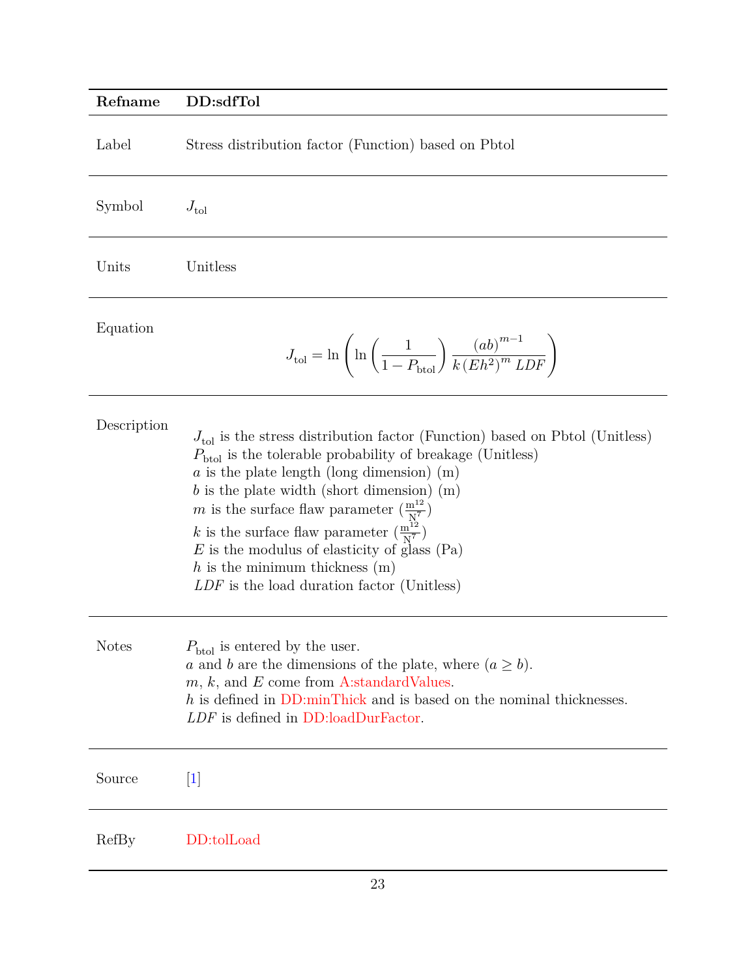### <span id="page-22-0"></span>**Refname DD:sdfTol**

| Label        | Stress distribution factor (Function) based on Pbtol                                                                                                                                                                                                                                                                                                                                                                                                                                                                                             |
|--------------|--------------------------------------------------------------------------------------------------------------------------------------------------------------------------------------------------------------------------------------------------------------------------------------------------------------------------------------------------------------------------------------------------------------------------------------------------------------------------------------------------------------------------------------------------|
| Symbol       | $J_{\text{tol}}$                                                                                                                                                                                                                                                                                                                                                                                                                                                                                                                                 |
| Units        | Unitless                                                                                                                                                                                                                                                                                                                                                                                                                                                                                                                                         |
| Equation     | $J_{\text{tol}}=\ln\left(\ln\left(\frac{1}{1-P_{\text{btol}}}\right)\frac{\left(ab\right)^{m-1}}{k\left( Eh^2\right)^m LDF}\right)$                                                                                                                                                                                                                                                                                                                                                                                                              |
| Description  | $J_{\text{tol}}$ is the stress distribution factor (Function) based on Pbtol (Unitless)<br>$P_{\text{btol}}$ is the tolerable probability of breakage (Unitless)<br>$a$ is the plate length (long dimension) (m)<br>$b$ is the plate width (short dimension) (m)<br>m is the surface flaw parameter $\left(\frac{m^{12}}{N^7}\right)$<br>k is the surface flaw parameter $\left(\frac{m^{12}}{N^7}\right)$<br>$E$ is the modulus of elasticity of glass (Pa)<br>$h$ is the minimum thickness $(m)$<br>LDF is the load duration factor (Unitless) |
| <b>Notes</b> | $P_{\text{btol}}$ is entered by the user.<br>a and b are the dimensions of the plate, where $(a \geq b)$ .<br>$m, k$ , and E come from A:standard Values.<br>h is defined in DD:minThick and is based on the nominal thicknesses.<br>LDF is defined in DD:loadDurFactor.                                                                                                                                                                                                                                                                         |
| Source       | $[1]$                                                                                                                                                                                                                                                                                                                                                                                                                                                                                                                                            |
| RefBy        | DD:tolLoad                                                                                                                                                                                                                                                                                                                                                                                                                                                                                                                                       |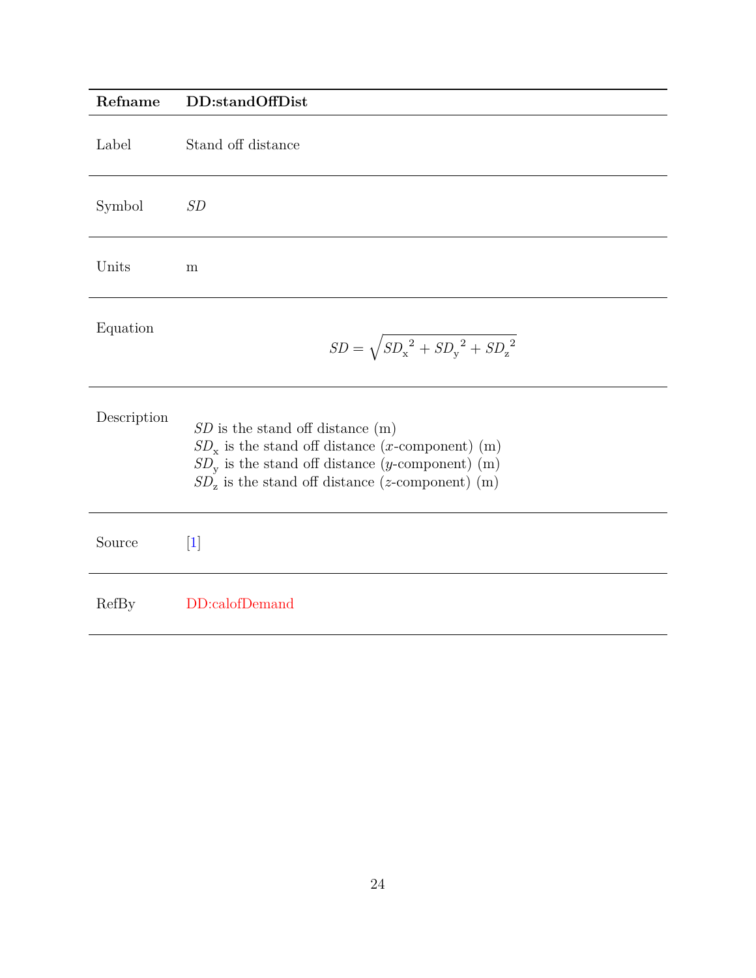<span id="page-23-0"></span>

| Refname     | DD:standOffDist                                                                                                                                                                                                |
|-------------|----------------------------------------------------------------------------------------------------------------------------------------------------------------------------------------------------------------|
| Label       | Stand off distance                                                                                                                                                                                             |
| Symbol      | SD                                                                                                                                                                                                             |
| Units       | m                                                                                                                                                                                                              |
| Equation    | $SD = \sqrt{SD_x^2 + SD_y^2 + SD_z^2}$                                                                                                                                                                         |
| Description | $SD$ is the stand off distance $(m)$<br>$SD_x$ is the stand off distance ( <i>x</i> -component) (m)<br>$SDv$ is the stand off distance (y-component) (m)<br>$SD_z$ is the stand off distance (z-component) (m) |
| Source      | $[1]$                                                                                                                                                                                                          |
| RefBy       | DD:calofDemand                                                                                                                                                                                                 |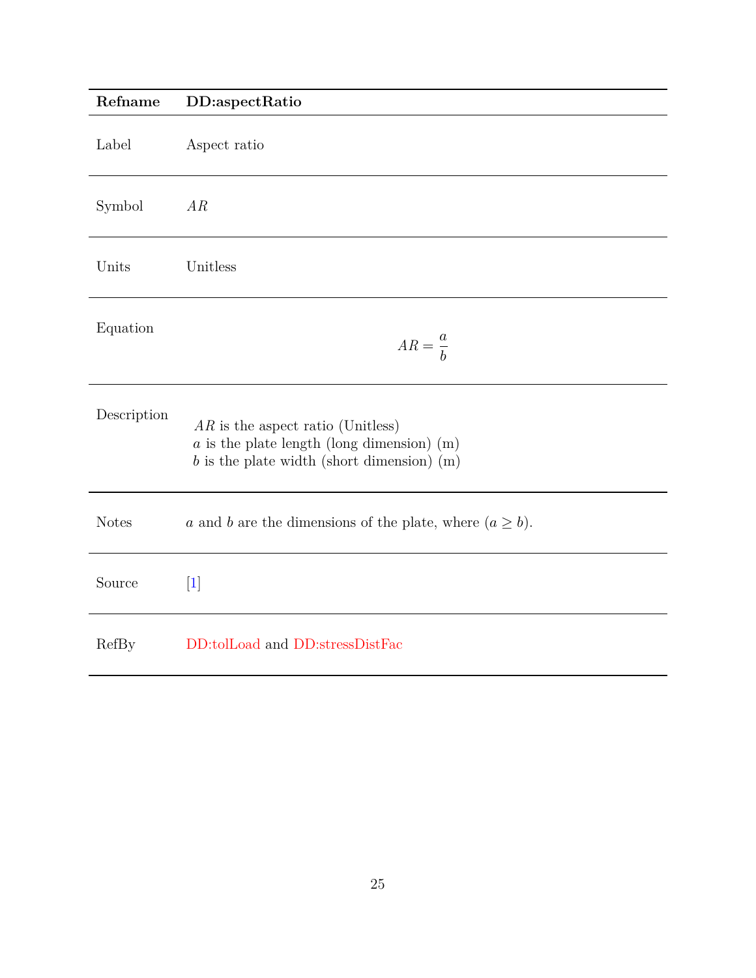<span id="page-24-0"></span>

| Refname      | DD:aspectRatio                                                                                                                      |
|--------------|-------------------------------------------------------------------------------------------------------------------------------------|
| Label        | Aspect ratio                                                                                                                        |
| Symbol       | AR                                                                                                                                  |
| Units        | Unitless                                                                                                                            |
| Equation     | $AR = \frac{a}{b}$                                                                                                                  |
| Description  | $AR$ is the aspect ratio (Unitless)<br>$a$ is the plate length (long dimension) (m)<br>$b$ is the plate width (short dimension) (m) |
| <b>Notes</b> | a and b are the dimensions of the plate, where $(a \ge b)$ .                                                                        |
| Source       | $\vert 1 \vert$                                                                                                                     |
| RefBy        | DD:tolLoad and DD:stressDistFac                                                                                                     |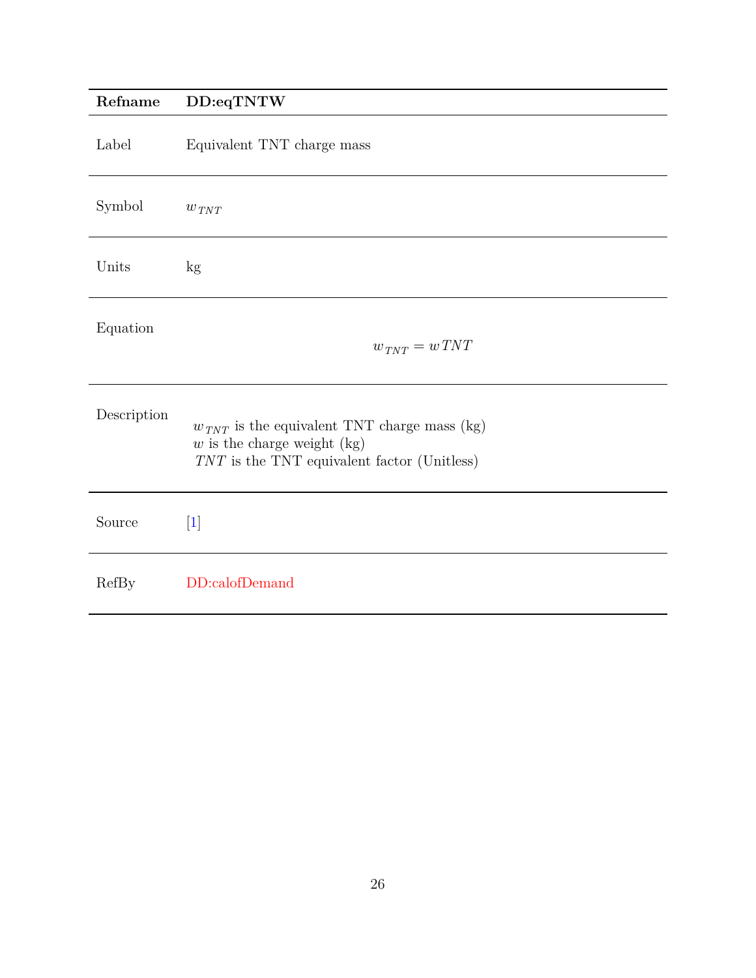## <span id="page-25-0"></span>**Refname DD:eqTNTW**

| Label        | Equivalent TNT charge mass                                                                                                         |
|--------------|------------------------------------------------------------------------------------------------------------------------------------|
| Symbol       | $w_{TNT}$                                                                                                                          |
| Units        | $\mathrm{kg}$                                                                                                                      |
| Equation     | $w_{TNT} = wTNT$                                                                                                                   |
| Description  | $w_{TNT}$ is the equivalent TNT charge mass (kg)<br>$w$ is the charge weight (kg)<br>$TNT$ is the TNT equivalent factor (Unitless) |
| Source       | $\lceil 1 \rceil$                                                                                                                  |
| <b>RefBy</b> | DD:calofDemand                                                                                                                     |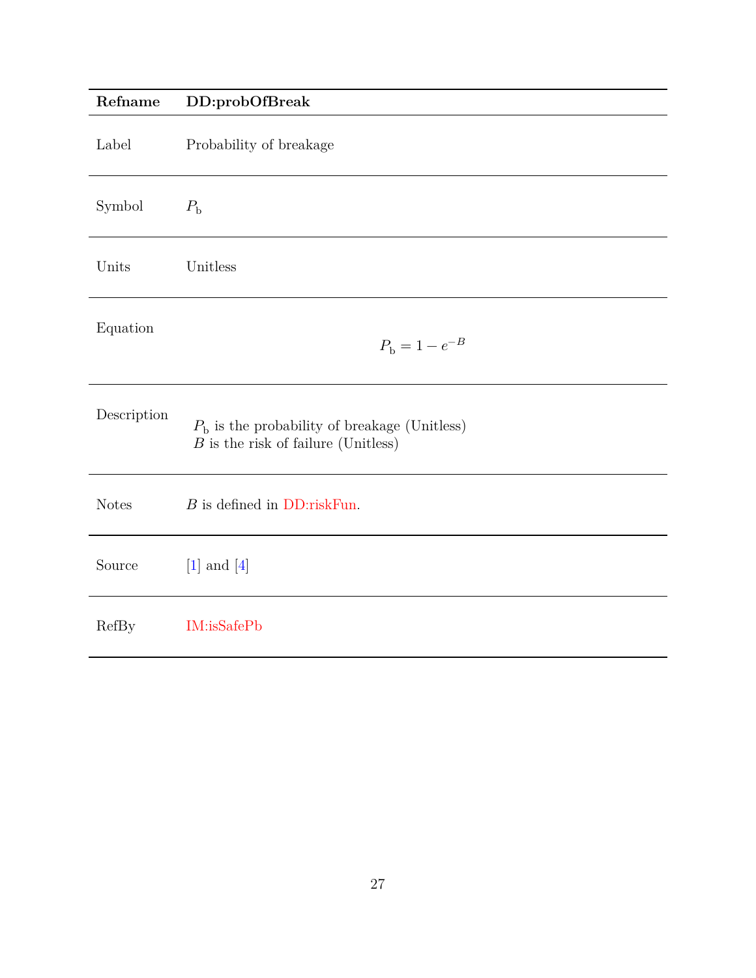<span id="page-26-0"></span>

| Refname      | DD:probOfBreak                                                                                 |
|--------------|------------------------------------------------------------------------------------------------|
| Label        | Probability of breakage                                                                        |
| Symbol       | $P_{\rm b}$                                                                                    |
| Units        | Unitless                                                                                       |
| Equation     | $P_{\rm b} = 1 - e^{-B}$                                                                       |
| Description  | $P_{\rm b}$ is the probability of breakage (Unitless)<br>$B$ is the risk of failure (Unitless) |
| <b>Notes</b> | $B$ is defined in DD:riskFun.                                                                  |
| Source       | $[1]$ and $[4]$                                                                                |
| <b>RefBy</b> | IM:isSafePb                                                                                    |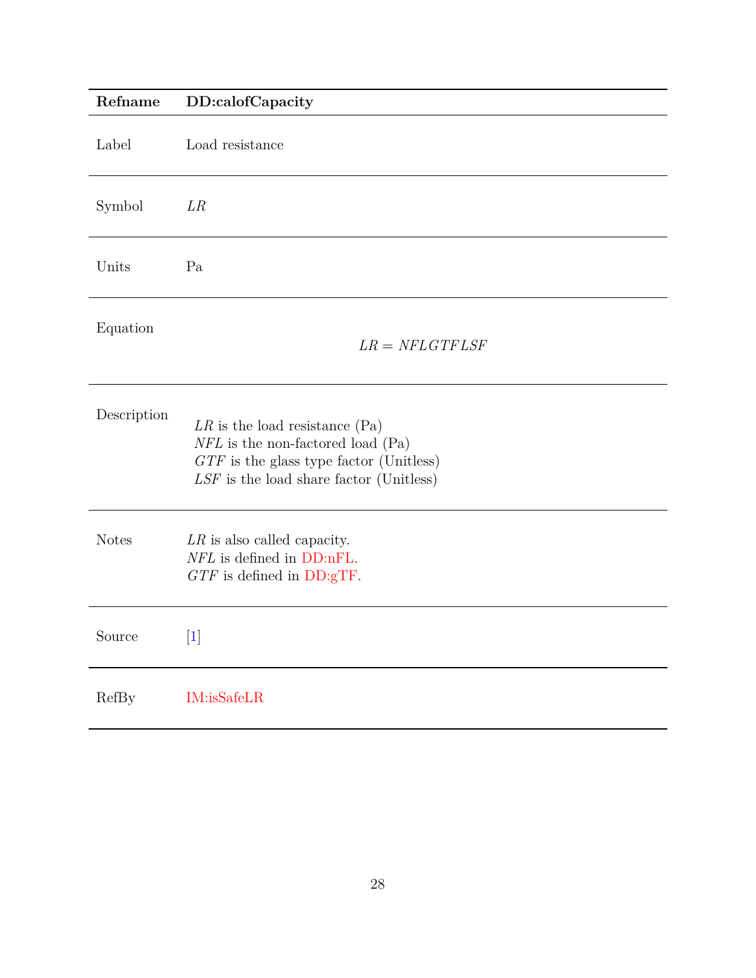<span id="page-27-0"></span>

| Refname      | DD:calofCapacity                                                                                                                                                         |
|--------------|--------------------------------------------------------------------------------------------------------------------------------------------------------------------------|
| Label        | Load resistance                                                                                                                                                          |
| Symbol       | LR                                                                                                                                                                       |
| Units        | Pa                                                                                                                                                                       |
| Equation     | $LR = NFLGTFLSF$                                                                                                                                                         |
| Description  | $LR$ is the load resistance (Pa)<br>$NFL$ is the non-factored load (Pa)<br>$GTF$ is the glass type factor (Unitless)<br>$\emph{LSF}$ is the load share factor (Unitless) |
| <b>Notes</b> | $LR$ is also called capacity.<br>NFL is defined in DD:nFL.<br>$GTF$ is defined in $DD:gTF$ .                                                                             |
| Source       | $[1]$                                                                                                                                                                    |
| RefBy        | IM:isSafeLR                                                                                                                                                              |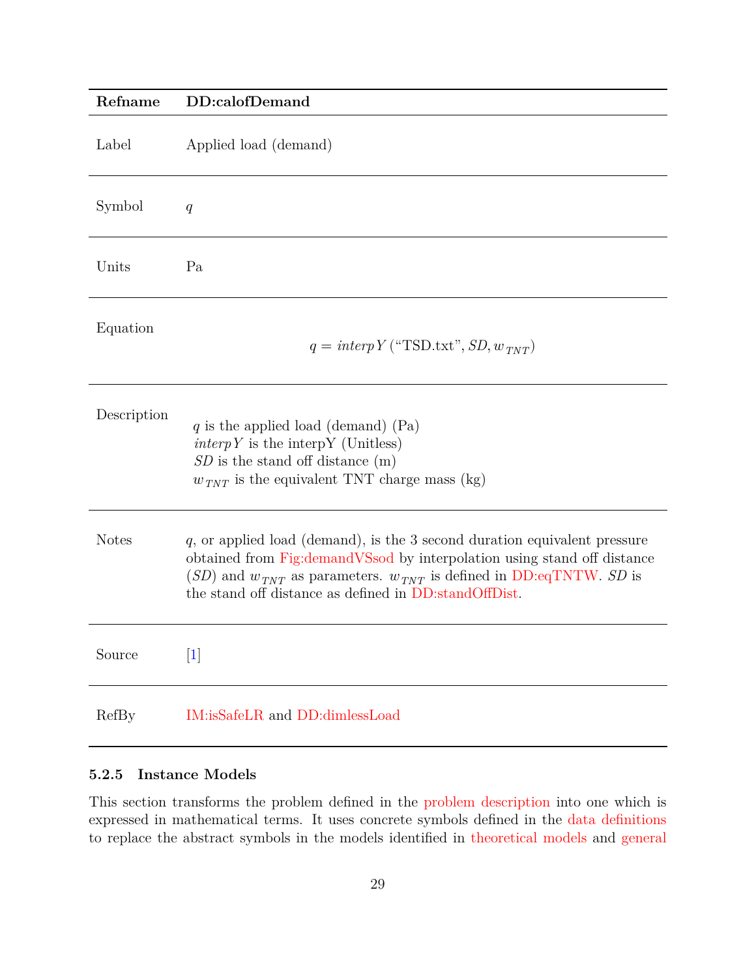<span id="page-28-1"></span>

| Refname      | DD:calofDemand                                                                                                                                                                                                                                                                                   |
|--------------|--------------------------------------------------------------------------------------------------------------------------------------------------------------------------------------------------------------------------------------------------------------------------------------------------|
| Label        | Applied load (demand)                                                                                                                                                                                                                                                                            |
| Symbol       | q                                                                                                                                                                                                                                                                                                |
| Units        | Pa                                                                                                                                                                                                                                                                                               |
| Equation     | $q = interpY("TSD.txt", SD, w_{TNT})$                                                                                                                                                                                                                                                            |
| Description  | q is the applied load (demand) $(Pa)$<br>$\text{interp} Y$ is the interpy (Unitless)<br>$SD$ is the stand off distance $(m)$<br>$w_{TNT}$ is the equivalent TNT charge mass (kg)                                                                                                                 |
| <b>Notes</b> | $q$ , or applied load (demand), is the 3 second duration equivalent pressure<br>obtained from Fig:demandVSsod by interpolation using stand off distance<br>$(SD)$ and $w_{TNT}$ as parameters. $w_{TNT}$ is defined in DD:eqTNTW. SD is<br>the stand off distance as defined in DD:standOffDist. |
| Source       | [1]                                                                                                                                                                                                                                                                                              |
| <b>RefBy</b> | IM:isSafeLR and DD:dimlessLoad                                                                                                                                                                                                                                                                   |

#### <span id="page-28-0"></span>**5.2.5 Instance Models**

This section transforms the problem defined in the [problem description](#page-7-3) into one which is expressed in mathematical terms. It uses concrete symbols defined in the [data definitions](#page-13-1) to replace the abstract symbols in the models identified in [theoretical models](#page-11-0) and [general](#page-13-0)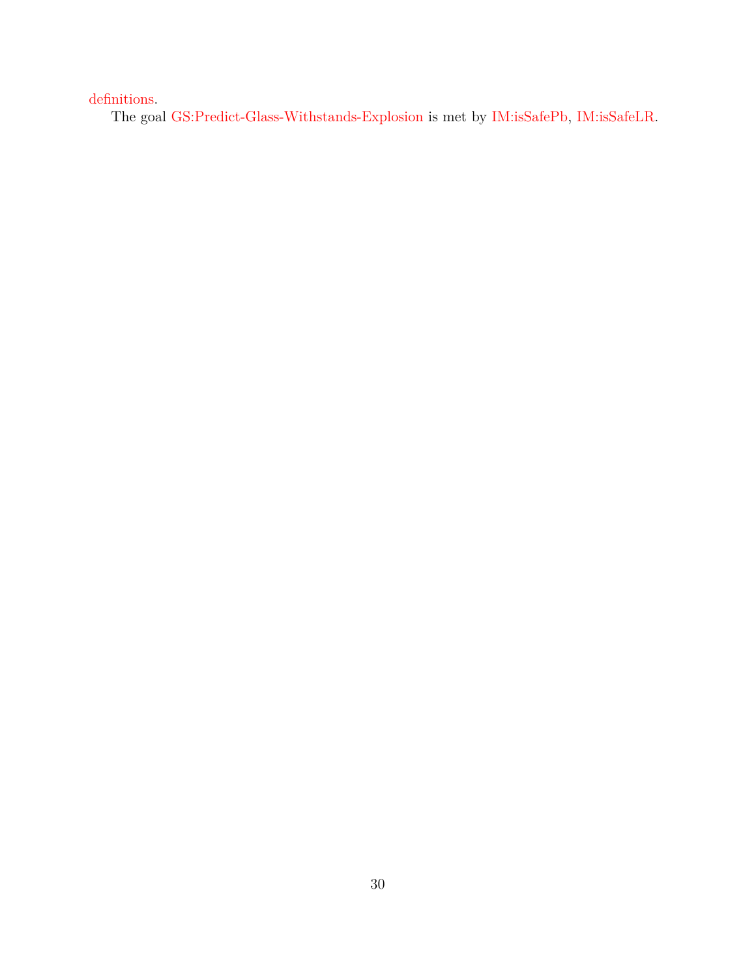[definitions.](#page-13-0)

The goal [GS:Predict-Glass-Withstands-Explosion](#page-9-2) is met by [IM:isSafePb,](#page-30-0) [IM:isSafeLR.](#page-31-0)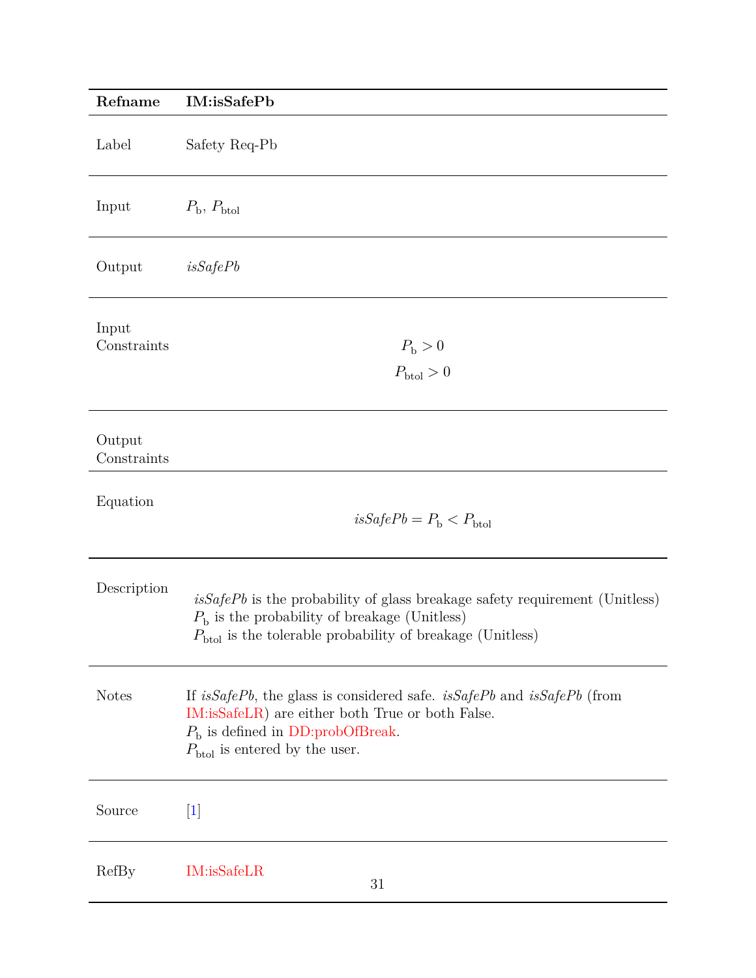<span id="page-30-0"></span>

| Refname               | IM:isSafePb                                                                                                                                                                                                          |
|-----------------------|----------------------------------------------------------------------------------------------------------------------------------------------------------------------------------------------------------------------|
| Label                 | Safety Req-Pb                                                                                                                                                                                                        |
| Input                 | $P_{\rm b}$ , $P_{\rm btol}$                                                                                                                                                                                         |
| Output                | isSafePb                                                                                                                                                                                                             |
| Input<br>Constraints  | $P_{\rm b} > 0$<br>$P_{\text{btol}}>0$                                                                                                                                                                               |
| Output<br>Constraints |                                                                                                                                                                                                                      |
| Equation              | $isSafePb = P_b < P_{bto}$                                                                                                                                                                                           |
| Description           | $isSafePb$ is the probability of glass breakage safety requirement (Unitless)<br>$P_{\rm b}$ is the probability of breakage (Unitless)<br>$P_{\rm{btol}}$ is the tolerable probability of breakage (Unitless)        |
| <b>Notes</b>          | If $isSafePb$ , the glass is considered safe. $isSafePb$ and $isSafePb$ (from<br>IM:isSafeLR) are either both True or both False.<br>$Pb$ is defined in DD:probOfBreak.<br>$P_{\text{btol}}$ is entered by the user. |
| Source                | $[1]$                                                                                                                                                                                                                |
| RefBy                 | IM:isSafeLR<br>31                                                                                                                                                                                                    |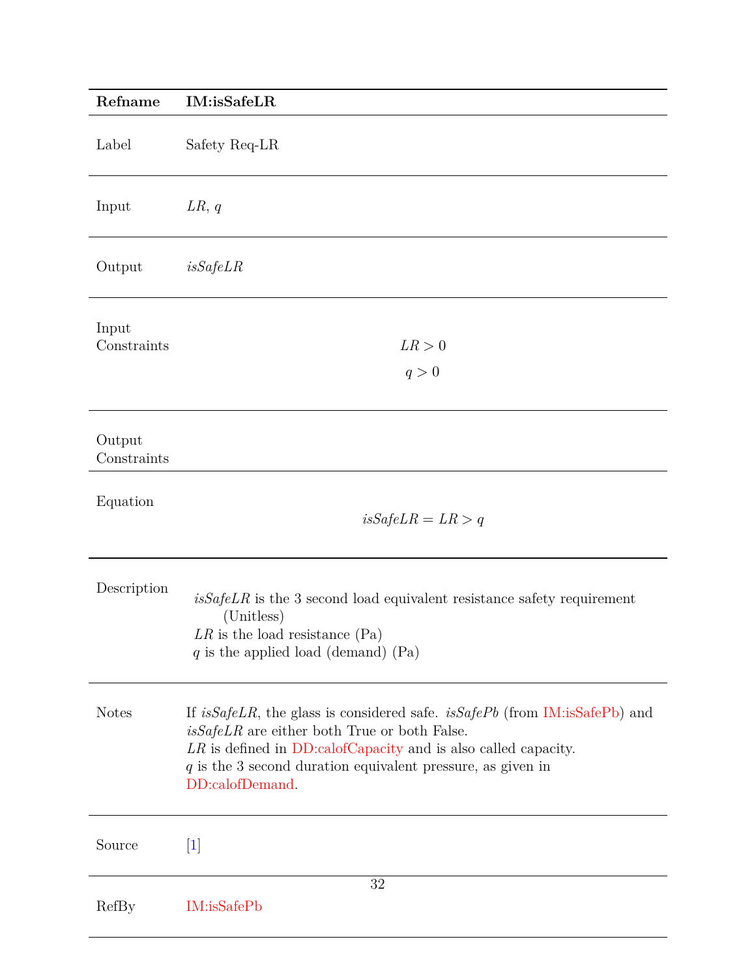<span id="page-31-0"></span>

| Refname               | IM:isSafeLR                                                                                                                                                                                                                                                                              |
|-----------------------|------------------------------------------------------------------------------------------------------------------------------------------------------------------------------------------------------------------------------------------------------------------------------------------|
| Label                 | Safety Req-LR                                                                                                                                                                                                                                                                            |
| Input                 | LR, q                                                                                                                                                                                                                                                                                    |
| Output                | isSafeLR                                                                                                                                                                                                                                                                                 |
| Input<br>Constraints  | LR > 0<br>q>0                                                                                                                                                                                                                                                                            |
| Output<br>Constraints |                                                                                                                                                                                                                                                                                          |
| Equation              | $isSafeLR = LR > q$                                                                                                                                                                                                                                                                      |
| Description           | $isSafeLR$ is the 3 second load equivalent resistance safety requirement<br>(Unitless)<br>$LR$ is the load resistance (Pa)<br>$q$ is the applied load (demand) (Pa)                                                                                                                      |
| <b>Notes</b>          | If is SafeLR, the glass is considered safe. is SafePb (from IM: is SafePb) and<br>$isSafeLR$ are either both True or both False.<br>$LR$ is defined in DD:calofCapacity and is also called capacity.<br>$q$ is the 3 second duration equivalent pressure, as given in<br>DD:calofDemand. |
| Source                | $[1]$                                                                                                                                                                                                                                                                                    |
| RefBy                 | 32<br>IM:isSafePb                                                                                                                                                                                                                                                                        |
|                       |                                                                                                                                                                                                                                                                                          |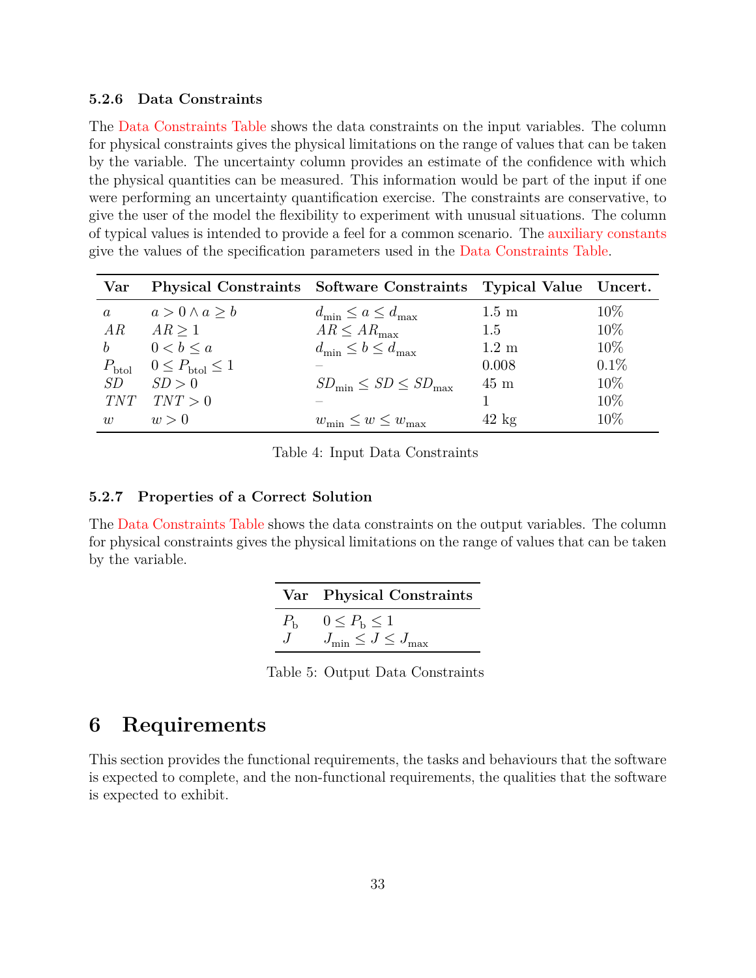#### <span id="page-32-0"></span>**5.2.6 Data Constraints**

The [Data Constraints Table](#page-32-3) shows the data constraints on the input variables. The column for physical constraints gives the physical limitations on the range of values that can be taken by the variable. The uncertainty column provides an estimate of the confidence with which the physical quantities can be measured. This information would be part of the input if one were performing an uncertainty quantification exercise. The constraints are conservative, to give the user of the model the flexibility to experiment with unusual situations. The column of typical values is intended to provide a feel for a common scenario. The [auxiliary constants](#page-39-0) give the values of the specification parameters used in the [Data Constraints Table.](#page-32-3)

<span id="page-32-3"></span>

| Var               |                                 | Physical Constraints Software Constraints Typical Value Uncert. |                 |         |
|-------------------|---------------------------------|-----------------------------------------------------------------|-----------------|---------|
| $\alpha$          | $a > 0 \wedge a \geq b$         | $d_{\min} \leq a \leq d_{\max}$                                 | $1.5 \text{ m}$ | $10\%$  |
| AR                | AR > 1                          | $AR \leq AR_{\text{max}}$                                       | 1.5             | $10\%$  |
| $\boldsymbol{b}$  | $0 < b \leq a$                  | $d_{\min} \leq b \leq d_{\max}$                                 | $1.2 \text{ m}$ | $10\%$  |
| $P_{\text{btol}}$ | $0 \leq P_{\text{btol}} \leq 1$ |                                                                 | 0.008           | $0.1\%$ |
| SD                | SD > 0                          | $SD_{\min} \leq SD \leq SD_{\max}$                              | $45 \text{ m}$  | 10%     |
| <i>TNT</i>        | TNT > 0                         |                                                                 |                 | $10\%$  |
| $\overline{u}$    | w>0                             | $w_{\min} \leq w \leq w_{\max}$                                 | $42 \text{ kg}$ | $10\%$  |

Table 4: Input Data Constraints

#### <span id="page-32-1"></span>**5.2.7 Properties of a Correct Solution**

<span id="page-32-4"></span>The [Data Constraints Table](#page-32-4) shows the data constraints on the output variables. The column for physical constraints gives the physical limitations on the range of values that can be taken by the variable.

| Var Physical Constraints                                     |
|--------------------------------------------------------------|
| $0 \leq P_{\rm b} \leq 1$<br>$J_{\min} \leq J \leq J_{\max}$ |

Table 5: Output Data Constraints

### <span id="page-32-2"></span>**6 Requirements**

This section provides the functional requirements, the tasks and behaviours that the software is expected to complete, and the non-functional requirements, the qualities that the software is expected to exhibit.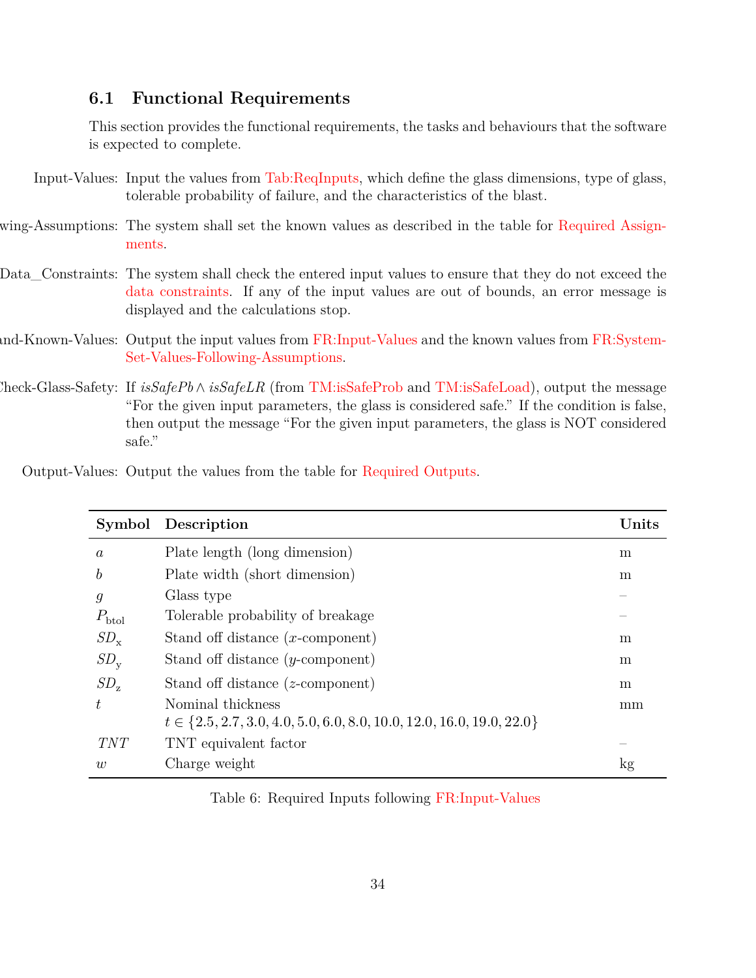#### <span id="page-33-0"></span>**6.1 Functional Requirements**

<span id="page-33-5"></span><span id="page-33-4"></span>This section provides the functional requirements, the tasks and behaviours that the software is expected to complete.

- Input-Values: Input the values from [Tab:ReqInputs,](#page-33-2) which define the glass dimensions, type of glass, tolerable probability of failure, and the characteristics of the blast.
- wing-Assumptions: The system shall set the known values as described in the table for [Required Assign](#page-33-3)[ments.](#page-33-3)
- <span id="page-33-7"></span>Data\_Constraints: The system shall check the entered input values to ensure that they do not exceed the [data constraints.](#page-32-0) If any of the input values are out of bounds, an error message is displayed and the calculations stop.
- <span id="page-33-8"></span>and-Known-Values: Output the input values from [FR:Input-Values](#page-33-4) and the known values from [FR:System-](#page-33-5)[Set-Values-Following-Assumptions.](#page-33-5)
- <span id="page-33-1"></span>Check-Glass-Safety: If *isSafePb* ∧ *isSafeLR* (from [TM:isSafeProb](#page-12-0) and [TM:isSafeLoad\)](#page-13-2), output the message "For the given input parameters, the glass is considered safe." If the condition is false, then output the message "For the given input parameters, the glass is NOT considered safe."

| Output-Values: Output the values from the table for Required Outputs. |  |  |  |
|-----------------------------------------------------------------------|--|--|--|
|                                                                       |  |  |  |

<span id="page-33-6"></span><span id="page-33-2"></span>

|                   | Symbol Description                                                          | Units |
|-------------------|-----------------------------------------------------------------------------|-------|
| $\boldsymbol{a}$  | Plate length (long dimension)                                               | m     |
| $\boldsymbol{b}$  | Plate width (short dimension)                                               | m     |
| $\mathfrak{g}$    | Glass type                                                                  |       |
| $P_{\text{btol}}$ | Tolerable probability of breakage                                           |       |
| $SD_{\rm x}$      | Stand off distance $(x$ -component)                                         | m     |
| $SD_{\rm v}$      | Stand off distance $(y$ -component)                                         | m     |
| $SD_{z}$          | Stand off distance $(z$ -component)                                         | m     |
| t.                | Nominal thickness                                                           | mm    |
|                   | $t \in \{2.5, 2.7, 3.0, 4.0, 5.0, 6.0, 8.0, 10.0, 12.0, 16.0, 19.0, 22.0\}$ |       |
| <i>TNT</i>        | TNT equivalent factor                                                       |       |
| w                 | Charge weight                                                               | kg    |

<span id="page-33-3"></span>Table 6: Required Inputs following [FR:Input-Values](#page-33-4)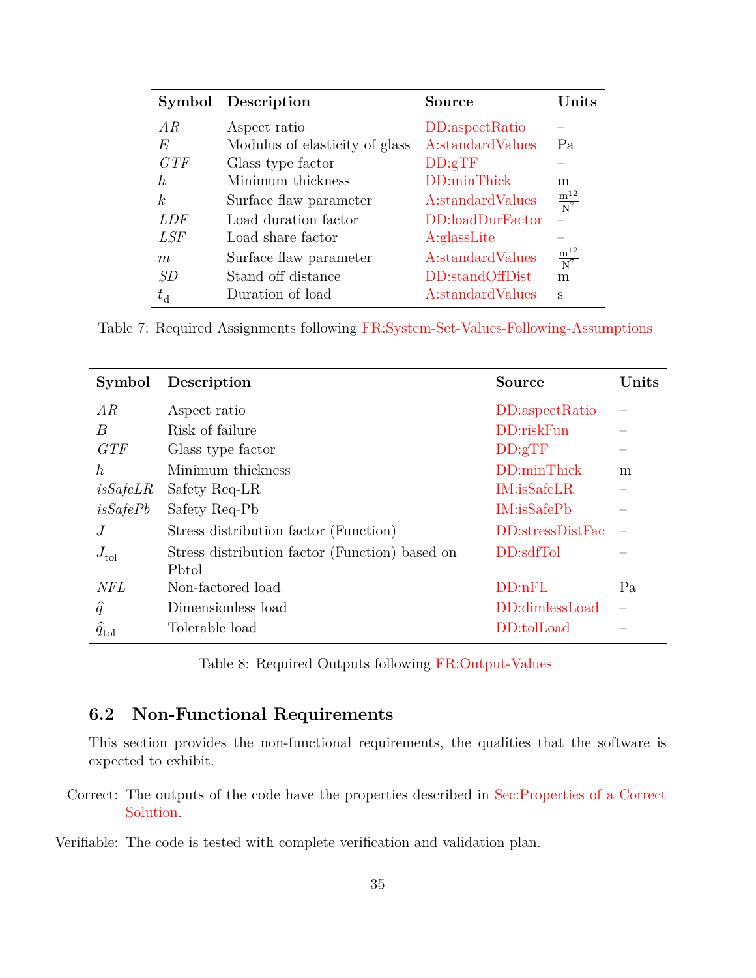|             | Symbol Description             | Source           | Units                |
|-------------|--------------------------------|------------------|----------------------|
| AR          | Aspect ratio                   | DD:aspectRatio   |                      |
| E           | Modulus of elasticity of glass | A:standardValues | Pa                   |
| GTF         | Glass type factor              | DD:gTF           |                      |
| $\hbar$     | Minimum thickness              | DD:minThick      | m                    |
| k           | Surface flaw parameter         | A:standardValues | $\frac{m^{12}}{N^7}$ |
| LDF         | Load duration factor           | DD:loadDurFactor |                      |
| LSF         | Load share factor              | A:glassLite      |                      |
| m           | Surface flaw parameter         | A:standardValues | $\frac{m^{12}}{N^7}$ |
| SD          | Stand off distance             | DD:standOffDist  | m                    |
| $t_{\rm d}$ | Duration of load               | A:standardValues | S                    |

Table 7: Required Assignments following [FR:System-Set-Values-Following-Assumptions](#page-33-5)

<span id="page-34-1"></span>

| Symbol           | Description                                    | <b>Source</b>    | Units |
|------------------|------------------------------------------------|------------------|-------|
| AR               | Aspect ratio                                   | DD:aspectRatio   |       |
| $\boldsymbol{B}$ | Risk of failure                                | DD:riskFun       |       |
| GTF              | Glass type factor                              | DD:gTF           |       |
| $\hbar$          | Minimum thickness                              | DD:minThick      | m     |
| isSafeLR         | Safety Req-LR                                  | IM:isSafeLR      |       |
| isSafePb         | Safety Req-Pb                                  | IM: isSafePb     |       |
| J                | Stress distribution factor (Function)          | DD:stressDistFac |       |
| $J_{\text{tol}}$ | Stress distribution factor (Function) based on | DD:sdfTol        |       |
|                  | Pbtol                                          |                  |       |
| <b>NFL</b>       | Non-factored load                              | DD:nFL           | Pa    |
| $\hat{q}$        | Dimensionless load                             | DD:dimlessLoad   |       |
| $q_{\text{tol}}$ | Tolerable load                                 | DD:tolLoad       |       |

Table 8: Required Outputs following [FR:Output-Values](#page-33-6)

### <span id="page-34-0"></span>**6.2 Non-Functional Requirements**

<span id="page-34-2"></span>This section provides the non-functional requirements, the qualities that the software is expected to exhibit.

Correct: The outputs of the code have the properties described in [Sec:Properties of a Correct](#page-32-1) [Solution.](#page-32-1)

<span id="page-34-3"></span>Verifiable: The code is tested with complete verification and validation plan.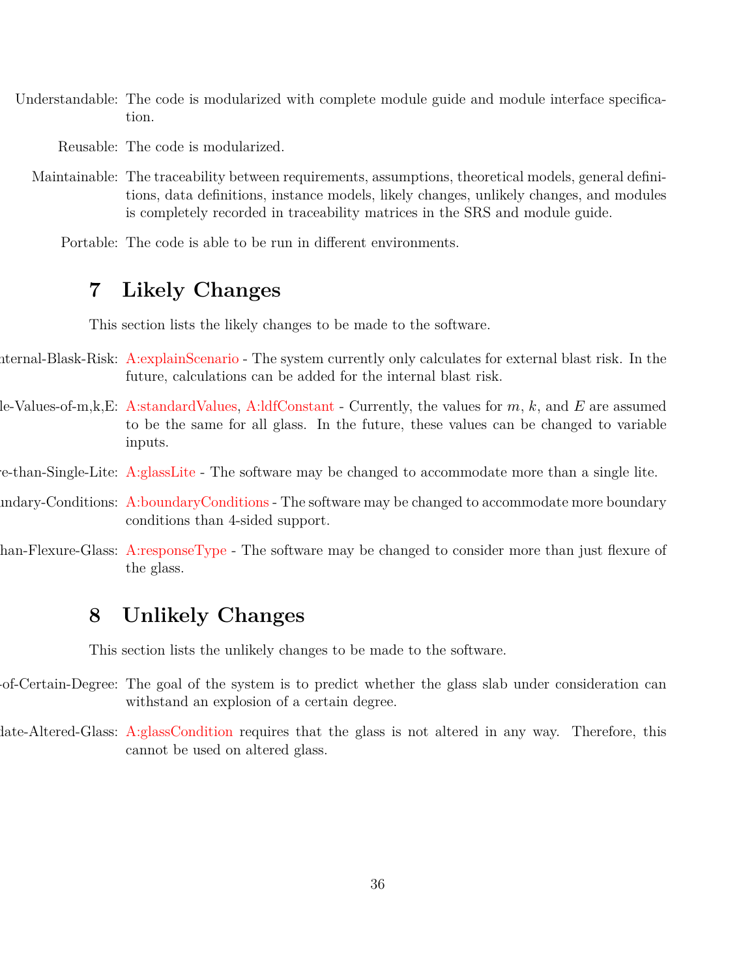Understandable: The code is modularized with complete module guide and module interface specification.

<span id="page-35-10"></span><span id="page-35-9"></span><span id="page-35-8"></span>Reusable: The code is modularized.

Maintainable: The traceability between requirements, assumptions, theoretical models, general definitions, data definitions, instance models, likely changes, unlikely changes, and modules is completely recorded in traceability matrices in the SRS and module guide.

<span id="page-35-11"></span>Portable: The code is able to be run in different environments.

### <span id="page-35-0"></span>**7 Likely Changes**

<span id="page-35-4"></span><span id="page-35-3"></span>This section lists the likely changes to be made to the software.

- nternal-Blask-Risk: [A:explainScenario](#page-10-3) The system currently only calculates for external blast risk. In the future, calculations can be added for the internal blast risk.
- le-Values-of-m,k,E: [A:standardValues,](#page-11-2) [A:ldfConstant](#page-11-1) Currently, the values for  $m, k$ , and  $E$  are assumed to be the same for all glass. In the future, these values can be changed to variable inputs.
- <span id="page-35-5"></span>e-than-Single-Lite: [A:glassLite](#page-11-3) - The software may be changed to accommodate more than a single lite.
- <span id="page-35-6"></span>indary-Conditions: [A:boundaryConditions](#page-11-4) - The software may be changed to accommodate more boundary conditions than 4-sided support.
- han-Flexure-Glass: [A:responseType](#page-11-5) The software may be changed to consider more than just flexure of the glass.

### <span id="page-35-7"></span><span id="page-35-1"></span>**8 Unlikely Changes**

<span id="page-35-12"></span><span id="page-35-2"></span>This section lists the unlikely changes to be made to the software.

- of-Certain-Degree: The goal of the system is to predict whether the glass slab under consideration can withstand an explosion of a certain degree.
- late-Altered-Glass: [A:glassCondition](#page-10-4) requires that the glass is not altered in any way. Therefore, this cannot be used on altered glass.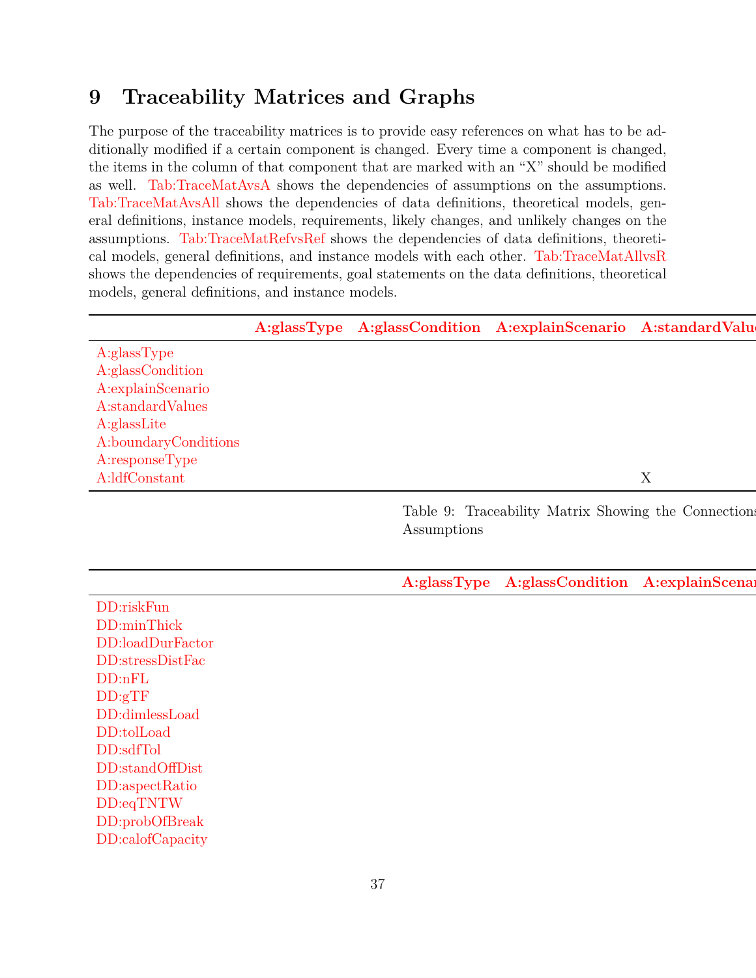### <span id="page-36-0"></span>**9 Traceability Matrices and Graphs**

The purpose of the traceability matrices is to provide easy references on what has to be additionally modified if a certain component is changed. Every time a component is changed, the items in the column of that component that are marked with an "X" should be modified as well. [Tab:TraceMatAvsA](#page-36-1) shows the dependencies of assumptions on the assumptions. [Tab:TraceMatAvsAll](#page-36-2) shows the dependencies of data definitions, theoretical models, general definitions, instance models, requirements, likely changes, and unlikely changes on the assumptions. [Tab:TraceMatRefvsRef](#page-37-0) shows the dependencies of data definitions, theoretical models, general definitions, and instance models with each other. [Tab:TraceMatAllvsR](#page-38-0) shows the dependencies of requirements, goal statements on the data definitions, theoretical models, general definitions, and instance models.

<span id="page-36-2"></span><span id="page-36-1"></span>

|                                                                                                                                                                                                                            |             | A:glassType A:glassCondition A:explainScenario A:standardValu |                 |
|----------------------------------------------------------------------------------------------------------------------------------------------------------------------------------------------------------------------------|-------------|---------------------------------------------------------------|-----------------|
| A:glassType<br>A:glassCondition<br>A:explainScenario<br>$\label{thm:standard} A\text{:standardValues}$<br>A:glassLite<br>A:boundaryConditions                                                                              |             |                                                               |                 |
| A:responseType<br>A:ldfConstant                                                                                                                                                                                            |             |                                                               | $\mathbf X$     |
|                                                                                                                                                                                                                            | Assumptions | Table 9: Traceability Matrix Showing the Connection           |                 |
|                                                                                                                                                                                                                            |             | A:glassType A:glassCondition                                  | A:explainScenar |
| DD:riskFun<br>DD:minThick<br>DD:loadDurFactor<br>DD:stressDistFac<br>DD:nFL<br>DD:gTF<br>DD:dimlessLoad<br>DD:tolLoad<br>DD:sdfTol<br>DD:standOffDist<br>DD:aspectRatio<br>DD:eqTNTW<br>DD:probOfBreak<br>DD:calofCapacity |             |                                                               |                 |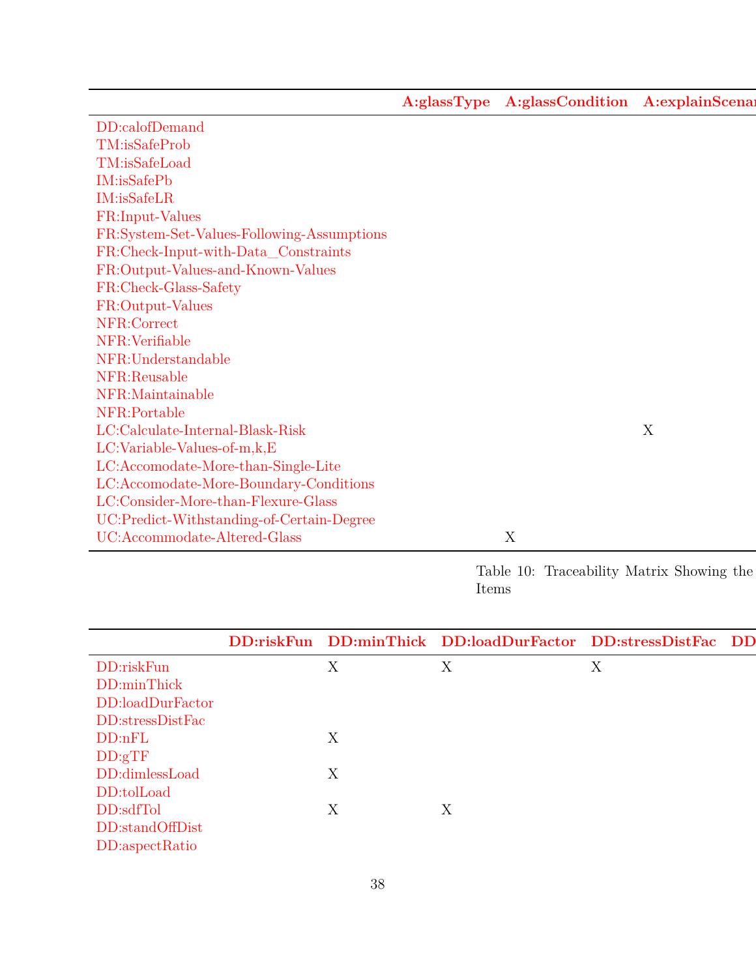**[A:glassType](#page-10-5) [A:glassCondition](#page-10-4) A:explainScena** 

| DD:calofDemand                             |   |   |
|--------------------------------------------|---|---|
| TM:isSafeProb                              |   |   |
| TM:isSafeLoad                              |   |   |
| IM:isSafePb                                |   |   |
| IM:isSafeLR                                |   |   |
| FR:Input-Values                            |   |   |
| FR:System-Set-Values-Following-Assumptions |   |   |
| FR:Check-Input-with-Data_Constraints       |   |   |
| FR:Output-Values-and-Known-Values          |   |   |
| FR:Check-Glass-Safety                      |   |   |
| FR:Output-Values                           |   |   |
| NFR:Correct                                |   |   |
| NFR: Verifiable                            |   |   |
| NFR:Understandable                         |   |   |
| NFR:Reusable                               |   |   |
| NFR:Maintainable                           |   |   |
| NFR:Portable                               |   |   |
| LC:Calculate-Internal-Blask-Risk           |   | X |
| LC:Variable-Values-of-m,k,E                |   |   |
| LC:Accomodate-More-than-Single-Lite        |   |   |
| LC:Accomodate-More-Boundary-Conditions     |   |   |
| LC:Consider-More-than-Flexure-Glass        |   |   |
| UC:Predict-Withstanding-of-Certain-Degree  |   |   |
| UC:Accommodate-Altered-Glass               | X |   |

Table 10: Traceability Matrix Showing the  $\,$ Items

<span id="page-37-0"></span>

|                                                                                            |  | DD:riskFun DD:minThick DD:loadDurFactor DD:stressDistFac DD |  |
|--------------------------------------------------------------------------------------------|--|-------------------------------------------------------------|--|
| DD:riskFun                                                                                 |  |                                                             |  |
| DD:minThick                                                                                |  |                                                             |  |
| DD:loadDurFactor                                                                           |  |                                                             |  |
| DD:stressDistFac                                                                           |  |                                                             |  |
| DD:nFL                                                                                     |  |                                                             |  |
|                                                                                            |  |                                                             |  |
| $\begin{array}{ll} \text{DD:}\text{gTF}\\ \text{DD:}\text{dimless}\text{Load} \end{array}$ |  |                                                             |  |
| DD:tolLoad                                                                                 |  |                                                             |  |
| DD:sdfTol                                                                                  |  |                                                             |  |
| DD:standOffDist                                                                            |  |                                                             |  |
| DD:aspectRatio                                                                             |  |                                                             |  |
|                                                                                            |  |                                                             |  |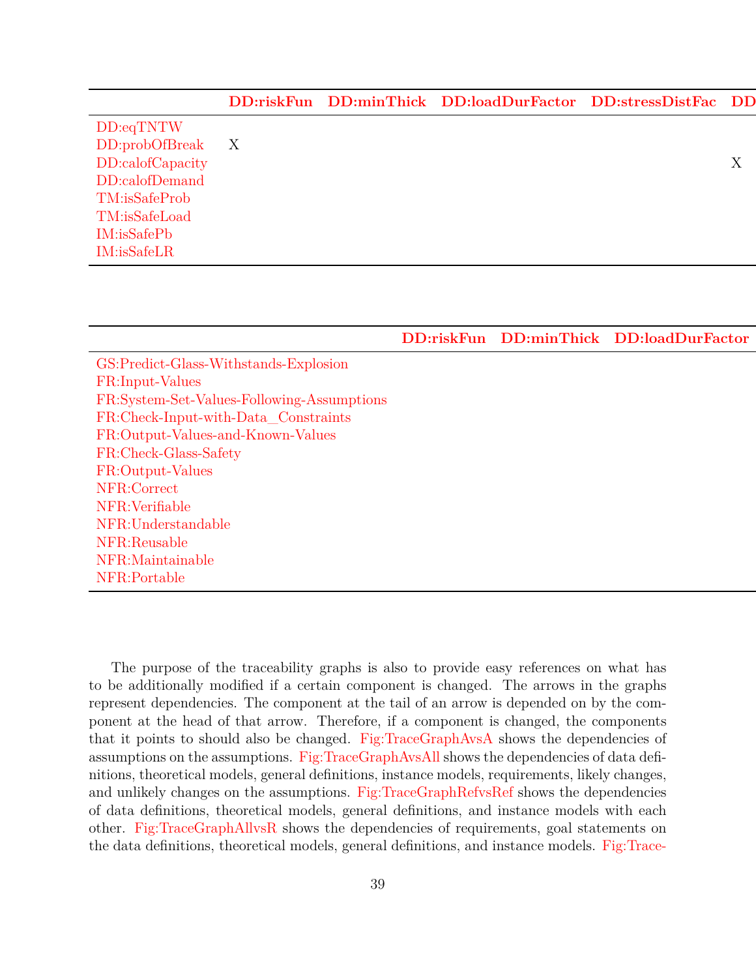|                           | DD:riskFun DD:minThick DD:loadDurFactor DD:stressDistFac DD |  |  |
|---------------------------|-------------------------------------------------------------|--|--|
| DD:eqTNTW                 |                                                             |  |  |
| $DD:probOfBreak \qquad X$ |                                                             |  |  |
| DD:calofCapacity          |                                                             |  |  |
| DD:calofDemand            |                                                             |  |  |
| TM:isSafeProb             |                                                             |  |  |
| TM:isSafeLoad             |                                                             |  |  |
| IM: isSafePb              |                                                             |  |  |
| $IM:$ isSafeLR            |                                                             |  |  |

[DD:riskFun](#page-14-0) [DD:minThick](#page-15-0) [DD:loadDurFactor](#page-16-0)

<span id="page-38-0"></span>[GS:Predict-Glass-Withstands-Explosion](#page-9-2) [FR:Input-Values](#page-33-4) [FR:System-Set-Values-Following-Assumptions](#page-33-5) [FR:Check-Input-with-Data\\_Constraints](#page-33-7) [FR:Output-Values-and-Known-Values](#page-33-8) X X [FR:Check-Glass-Safety](#page-33-1) [FR:Output-Values](#page-33-6) [NFR:Correct](#page-34-2) [NFR:Verifiable](#page-34-3) [NFR:Understandable](#page-35-8) [NFR:Reusable](#page-35-9) [NFR:Maintainable](#page-35-10) [NFR:Portable](#page-35-11)

The purpose of the traceability graphs is also to provide easy references on what has to be additionally modified if a certain component is changed. The arrows in the graphs represent dependencies. The component at the tail of an arrow is depended on by the component at the head of that arrow. Therefore, if a component is changed, the components that it points to should also be changed. [Fig:TraceGraphAvsA](#page-39-1) shows the dependencies of assumptions on the assumptions. [Fig:TraceGraphAvsAll](#page-39-2) shows the dependencies of data definitions, theoretical models, general definitions, instance models, requirements, likely changes, and unlikely changes on the assumptions. [Fig:TraceGraphRefvsRef](#page-39-3) shows the dependencies of data definitions, theoretical models, general definitions, and instance models with each other. [Fig:TraceGraphAllvsR](#page-41-2) shows the dependencies of requirements, goal statements on the data definitions, theoretical models, general definitions, and instance models. [Fig:Trace-](#page-41-3)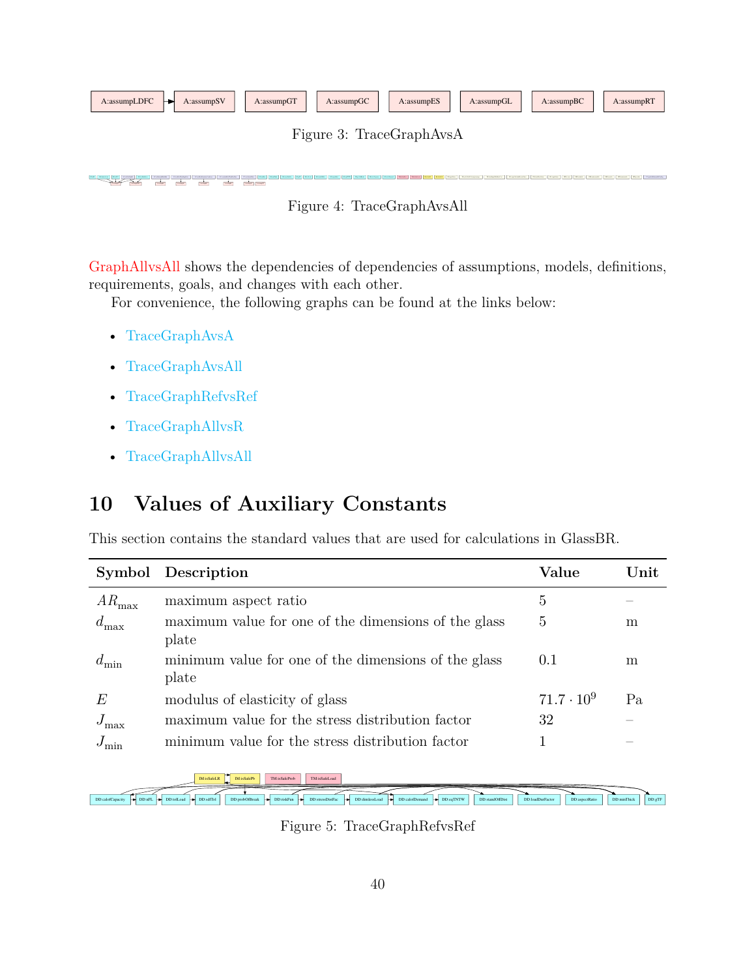<span id="page-39-1"></span>

| A:assumpLDFC<br>A:assumpSV<br>⊢ | A:assumpGT      | A:assumpGC | A:assumpES | A:assumpGL | A:assumpBC | A:assumpRT |
|---------------------------------|-----------------|------------|------------|------------|------------|------------|
|                                 | $\mathbf{\tau}$ | ີ          |            |            |            |            |

Figure 3: TraceGraphAvsA

Figure 4: TraceGraphAvsAll

Good Lands Lands Land Lands Lands Lands Lands Lands Lands Lands Lands Lands Lands Lands Lands Lands Lands Lands Lands Lands Lands Lands Lands Lands Lands Lands Lands Lands Lands Lands Lands Lands Lands Lands Lands Lands La

[GraphAllvsAll](#page-41-3) shows the dependencies of dependencies of assumptions, models, definitions, requirements, goals, and changes with each other.

For convenience, the following graphs can be found at the links below:

• [TraceGraphAvsA](../../../../traceygraphs/glassbr/avsa.svg)

<span id="page-39-2"></span><u>A:assump</u>

- [TraceGraphAvsAll](../../../../traceygraphs/glassbr/avsall.svg)
- [TraceGraphRefvsRef](../../../../traceygraphs/glassbr/refvsref.svg)

A:assumpGC A:assumpGT A:assumpG

- [TraceGraphAllvsR](../../../../traceygraphs/glassbr/allvsr.svg)
- [TraceGraphAllvsAll](../../../../traceygraphs/glassbr/allvsall.svg)

## <span id="page-39-0"></span>**10 Values of Auxiliary Constants**

This section contains the standard values that are used for calculations in GlassBR.

|                   | Symbol Description                                            | Value             | Unit |
|-------------------|---------------------------------------------------------------|-------------------|------|
| $AR_{\text{max}}$ | maximum aspect ratio                                          | 5                 |      |
| $d_{\max}$        | maximum value for one of the dimensions of the glass<br>plate | 5                 | m    |
| $d_{\min}$        | minimum value for one of the dimensions of the glass<br>plate | 0.1               | m    |
| E                 | modulus of elasticity of glass                                | $71.7 \cdot 10^9$ | Pa   |
| $J_{\rm max}$     | maximum value for the stress distribution factor              | 32                |      |
| $J_{\min}$        | minimum value for the stress distribution factor              |                   |      |

<span id="page-39-3"></span>

Figure 5: TraceGraphRefvsRef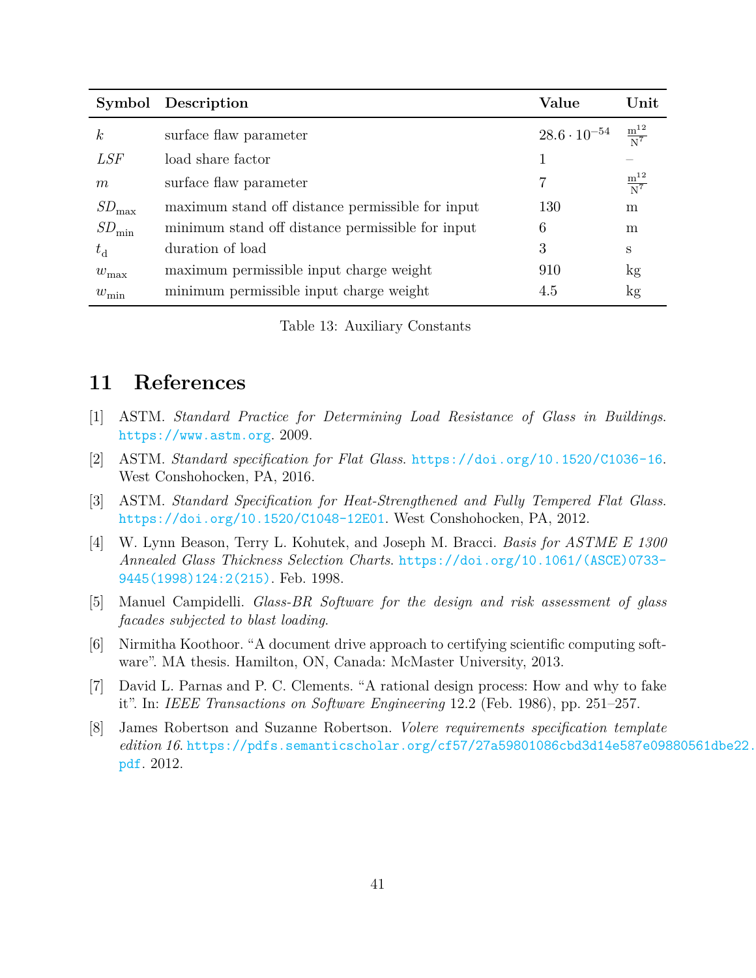|                   | Symbol Description                               | Value                                                    | $\bold{Unit}$        |
|-------------------|--------------------------------------------------|----------------------------------------------------------|----------------------|
| $\boldsymbol{k}$  | surface flaw parameter                           | $28.6 \cdot 10^{-54}$ $\frac{\text{m}^{12}}{\text{N}^7}$ |                      |
| <i>LSF</i>        | load share factor                                |                                                          |                      |
| m                 | surface flaw parameter                           | 7                                                        | $\frac{m^{12}}{N^7}$ |
| $SD_{\rm max}$    | maximum stand off distance permissible for input | 130                                                      | m                    |
| $SD_{\text{min}}$ | minimum stand off distance permissible for input | 6                                                        | m                    |
| $t_{\rm d}$       | duration of load                                 | 3                                                        | S                    |
| $w_{\text{max}}$  | maximum permissible input charge weight          | 910                                                      | kg                   |
| $w_{\min}$        | minimum permissible input charge weight          | 4.5                                                      | kg                   |

Table 13: Auxiliary Constants

### <span id="page-40-0"></span>**11 References**

- <span id="page-40-2"></span>[1] ASTM. *Standard Practice for Determining Load Resistance of Glass in Buildings*. <https://www.astm.org>. 2009.
- <span id="page-40-4"></span>[2] ASTM. *Standard specification for Flat Glass*. <https://doi.org/10.1520/C1036-16>. West Conshohocken, PA, 2016.
- <span id="page-40-3"></span>[3] ASTM. *Standard Specification for Heat-Strengthened and Fully Tempered Flat Glass*. <https://doi.org/10.1520/C1048-12E01>. West Conshohocken, PA, 2012.
- <span id="page-40-7"></span>[4] W. Lynn Beason, Terry L. Kohutek, and Joseph M. Bracci. *Basis for ASTME E 1300 Annealed Glass Thickness Selection Charts*. [https://doi.org/10.1061/\(ASCE\)0733-](https://doi.org/10.1061/(ASCE)0733-9445(1998)124:2(215)) [9445\(1998\)124:2\(215\)](https://doi.org/10.1061/(ASCE)0733-9445(1998)124:2(215)). Feb. 1998.
- <span id="page-40-8"></span>[5] Manuel Campidelli. *Glass-BR Software for the design and risk assessment of glass facades subjected to blast loading*.
- <span id="page-40-5"></span>[6] Nirmitha Koothoor. "A document drive approach to certifying scientific computing software". MA thesis. Hamilton, ON, Canada: McMaster University, 2013.
- <span id="page-40-1"></span>[7] David L. Parnas and P. C. Clements. "A rational design process: How and why to fake it". In: *IEEE Transactions on Software Engineering* 12.2 (Feb. 1986), pp. 251–257.
- <span id="page-40-6"></span>[8] James Robertson and Suzanne Robertson. *Volere requirements specification template edition 16*. [https://pdfs.semanticscholar.org/cf57/27a59801086cbd3d14e587e098](https://pdfs.semanticscholar.org/cf57/27a59801086cbd3d14e587e09880561dbe22.pdf)80561dbe22. [pdf](https://pdfs.semanticscholar.org/cf57/27a59801086cbd3d14e587e09880561dbe22.pdf). 2012.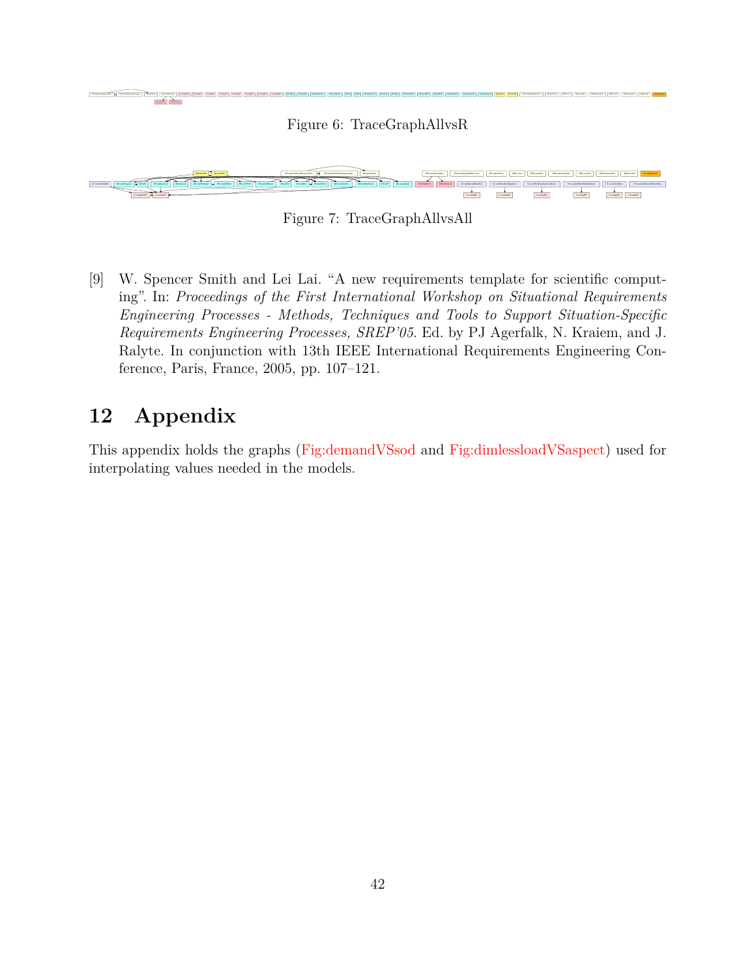<span id="page-41-3"></span><span id="page-41-2"></span>

Figure 7: TraceGraphAllvsAll

<span id="page-41-1"></span>[9] W. Spencer Smith and Lei Lai. "A new requirements template for scientific computing". In: *Proceedings of the First International Workshop on Situational Requirements Engineering Processes - Methods, Techniques and Tools to Support Situation-Specific Requirements Engineering Processes, SREP'05*. Ed. by PJ Agerfalk, N. Kraiem, and J. Ralyte. In conjunction with 13th IEEE International Requirements Engineering Conference, Paris, France, 2005, pp. 107–121.

### <span id="page-41-0"></span>**12 Appendix**

This appendix holds the graphs [\(Fig:demandVSsod](#page-42-0) and [Fig:dimlessloadVSaspect\)](#page-43-0) used for interpolating values needed in the models.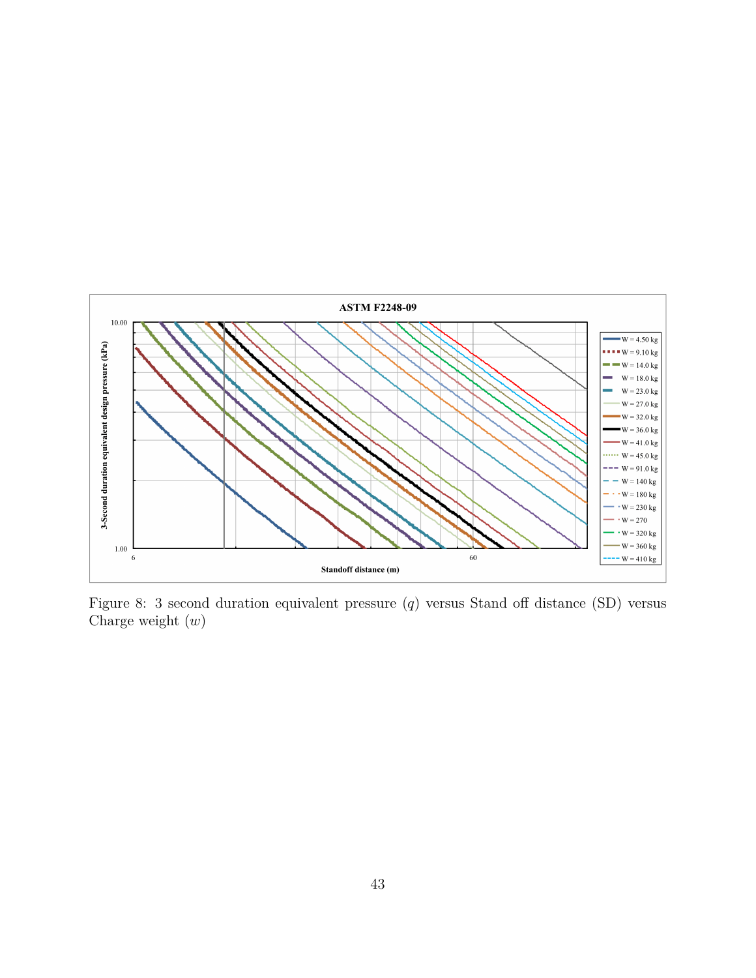<span id="page-42-0"></span>

Figure 8: 3 second duration equivalent pressure  $(q)$  versus Stand off distance (SD) versus Charge weight  $(w)$